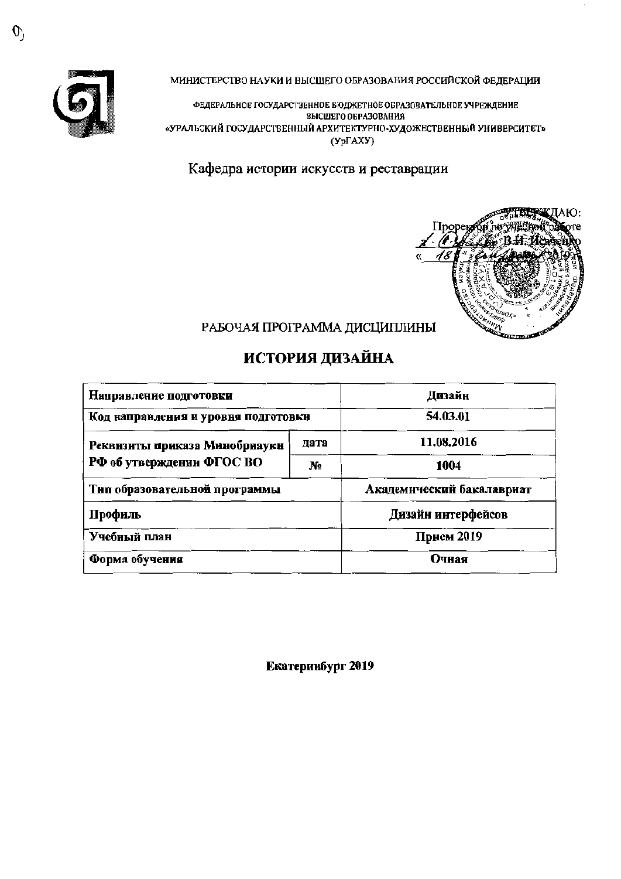

МИНИСТЕРСТВО НАУКИ И ВЫСШЕГО ОБРАЗОВАНИЯ РОССИЙСКОЙ ФЕДЕРАЦИИ

ФЕДЕРАЛЬНОЕ ГОСУДАРСТВЕННОЕ БЮДЖЕТНОЕ ОБРАЗОВАТЕЛЬНОЕ УЧРЕЖДЕНИЕ ВЫСШЕГО ОБРАЗОВАНИЯ «УРАЛЬСКИЙ ГОСУДАРСТВЕННЫЙ АРХИТЕКТУРНО-ХУДОЖЕСТВЕННЫЙ УНИВЕРСИТЕТ»  $(Yp\Gamma A XY)$ 

Кафедра истории искусств и реставрации



# РАБОЧАЯ ПРОГРАММА ДИСЦИПЛИНЫ

# **ИСТОРИЯ ДИЗАЙНА**

| Направление подготовки              | Дизайн         |                           |  |  |
|-------------------------------------|----------------|---------------------------|--|--|
| Код направления и уровня подготовки | 54.03.01       |                           |  |  |
| Реквизиты приказа Минобрнауки       | дата           | 11.08.2016                |  |  |
| РФ об утверждении ФГОС ВО           | N <sub>2</sub> | 1004                      |  |  |
| Тип образовательной программы       |                | Академический бакалавриат |  |  |
| Профиль                             |                | Дизайн интерфейсов        |  |  |
| Учебный план                        | Прием 2019     |                           |  |  |
| Форма обучения                      | Очная          |                           |  |  |

Екатериибург 2019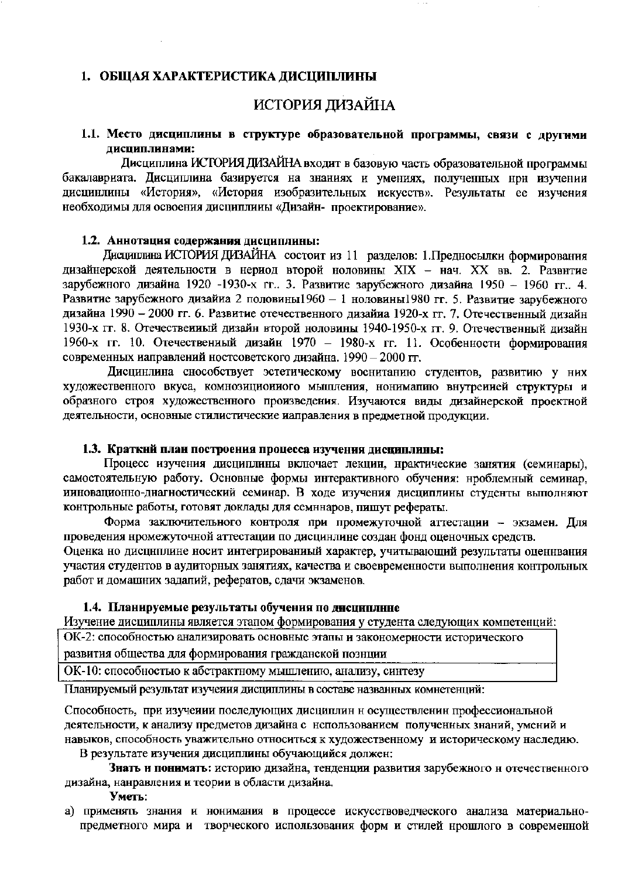### 1. ОБЩАЯ ХАРАКТЕРИСТИКА ДИСЦИПЛИНЫ

# ИСТОРИЯ ДИЗАЙНА

### 1.1. Место дисциплины в структуре образовательной программы, связи с другими дисциплинами:

Дисциплина ИСТОРИЯ ДИЗАЙНА входит в базовую часть образовательной программы бакалавриата. Дисциплина базируется на знаниях и умениях, полученных нри изучении дисцинлины «История», «История изобразительных искусств». Результаты ее изучения необходимы для освоения дисциплины «Дизайн- проектирование».

### 1.2. Аннотация содержания дисциплины:

Дисциплина ИСТОРИЯ ДИЗАЙНА состоит из 11 разделов: 1. Предносылки формирования дизайнерской деятельности в нериод второй ноловины XIX - нач. XX вв. 2. Развитие зарубежного дизайна 1920 -1930-х гг. 3. Развитие зарубежного дизайна 1950 - 1960 гг. 4. Развитие зарубежного дизайна 2 половины1960 - 1 ноловины1980 гг. 5. Развитие зарубежного дизайна 1990 - 2000 гг. 6. Развитие отечественного дизайиа 1920-х гг. 7. Отечественный дизайн 1930-х гг. 8. Отечественный дизайн второй ноловины 1940-1950-х гг. 9. Отечественный дизайн 1960-х гг. 10. Отечественный дизайн 1970 - 1980-х гг. 11. Особенности формирования современных иаправлений ностсоветского дизайна. 1990 - 2000 гг.

Дисцинлина снособствует эстетическому воснитанию студентов, развитию у них художественного вкуса, комнозиционного мышления, нонимапию внутренией структуры и образного строя художественного произведения. Изучаются виды дизайнерской проектной деятельности, основные стилистические иаправления в предметной продукции.

### 1.3. Краткнй план построения процесса изучения дисциплины:

Процесс изучения дисциплины включает лекцин, нрактические занятия (семинары), самостоятельную работу. Основные формы интерактивного обучения: нроблемный семинар, ииновационно-днагностический семинар. В ходе изучения дисциплины студенты выполняют контрольные работы, готовят доклады для семннаров, пишут рефераты.

Форма заключительного контроля при промежуточной аттестации - экзамен. Для проведения нромежуточной аттестации по дисцинлине создан фонд оценочных средств.

Оценка но дисциплине носит интегрированиый характер, учитывающий результаты оценнвания участия студентов в аудиторных занятиях, качества и своевременности выполнения контрольных работ и домашних задапий, рефератов, сдачи экзаменов.

### 1.4. Планируемые результаты обучения по дисциплнне

Изучение дисциплины является этапом формирования у студента следующих компетенций:

ОК-2: способностью анализировать основные этапы и закономерности исторического

развития общества для формирования гражданской познции

ОК-10: способностью к абстрактному мышлению, анализу, синтезу

Планируемый результат изучения дисциплины в составе названных комнетенций:

Способность, при изучении последующих дисциплин н осуществленин профессиональной деятельности, к анализу предметов дизайна с нспользованием полученных знаний, умений и навыков, способность уважительно относиться к художественному и историческому наследию.

В результате изучения дисциплины обучающийся должен:

Знать и понимать: историю дизайна, тенденции развития зарубежного и отечественного дизайна, нанравления и теории в области дизайна.

Уметь:

а) применять знания и нонимания в процессе искусствоведческого анализа материальнопредметного мира и творческого использования форм и стилей нрошлого в современной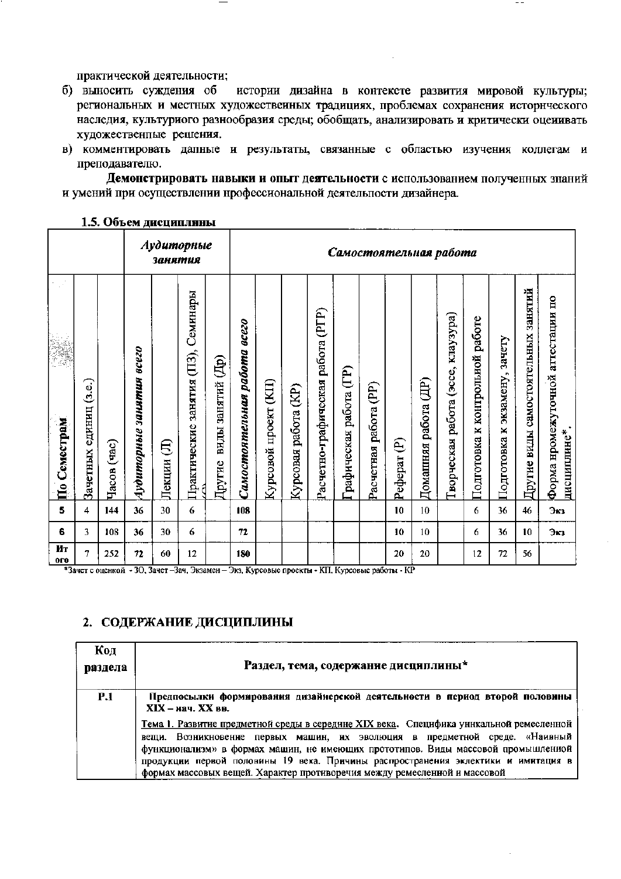практической деятельности;

- б) выносить суждения об истории дизайна в контексте развития мировой культуры; региональных и местных художественных традициях, проблемах сохранения исторического наследия, культуриого разнообразия среды; обобщать, анализировать и критически оценивать художественные решения.
- в) комментировать дапные и результаты, связанные с областью изучения коллегам и преподавателю.

Демонстрировать навыки и опыт деятельности с использованием полученных знаний и умений при осуществлении нрофессиональной деятельпости дизайнера.

### 1.5. Объем лисциплины

|                    |                        |                |                                       | занятия     | Аудиторные                                |                             |                              | Самостоятельная работа      |                        |                                      |                        |                       |              |                         |                                              |                                          |                                                     |                                     |                                                  |
|--------------------|------------------------|----------------|---------------------------------------|-------------|-------------------------------------------|-----------------------------|------------------------------|-----------------------------|------------------------|--------------------------------------|------------------------|-----------------------|--------------|-------------------------|----------------------------------------------|------------------------------------------|-----------------------------------------------------|-------------------------------------|--------------------------------------------------|
| √.<br>По Семестрам | Зачетных единиц (з.е.) | (4ac)<br>Часов | <b>BCC20</b><br>занятия<br>Аудиторные | €<br>Лекции | Семинары<br>занятия (ПЗ),<br>Практические | виды занятий (Др)<br>Другие | Самостоятельная работа всего | $($ KII)<br>Курсовой проект | (E)<br>Курсовая работа | работа (РГР)<br>Расчетно-графическая | рафическая работа (ГР) | Расчетная работа (PP) | €<br>Реферат | работа (ДР)<br>Домашняя | kilay3ypa)<br>(3CCE,<br>работа<br>Гворческая | работе<br>контрольной<br>×<br>Подготовка | зачету<br>экзамену,<br>$\blacksquare$<br>Подготовка | Другие виды самостоятельных занятий | Форма нромежуточной аттестации по<br>дисциплине* |
| 5                  | 4                      | 144            | 36                                    | 30          | 6                                         |                             | 108                          |                             |                        |                                      |                        |                       | 10           | 10                      |                                              | 6                                        | 36                                                  | 46                                  | Экз                                              |
| 6                  | 3                      | 108            | 36                                    | 30          | 6                                         |                             | 72                           |                             |                        |                                      |                        |                       | 10           | 10                      |                                              | 6                                        | 36                                                  | 10                                  | Экз                                              |
| Ит<br>oro          | 7                      | 252            | 72                                    | 60          | 12                                        |                             | 180                          |                             |                        |                                      |                        |                       | 20           | 20                      |                                              | 12                                       | 72                                                  | 56                                  |                                                  |

\*Зачет с оценкой - ЗО, Зачет-Зач, Экзамен-Экз, Курсовые проекты - КП, Курсовые работы - КР

### 2. СОДЕРЖАНИЕ ДИСЦИПЛИНЫ

| Код<br>раздела | Раздел, тема, содержание дисциплины*                                                                                                                                                                                                                                                                                                                                                 |
|----------------|--------------------------------------------------------------------------------------------------------------------------------------------------------------------------------------------------------------------------------------------------------------------------------------------------------------------------------------------------------------------------------------|
| <b>P.1</b>     | Предпосылки формирования дизайнерской деятельности в период второй половины<br>$XIX - \kappa a$ <sup>u</sup> . $XX$ BB.<br>Тема 1. Развитие предметной среды в середине XIX века. Специфика уникальной ремесленной<br>вещи. Возникновенне первых машин, их эволюция в предметной среде. «Наивный<br>функционализм» в формах машин, не имеющих прототипов. Виды массовой промышленной |
|                | продукции первой половины 19 века. Причины распространения эклектики и имитация в<br>формах массовых вещей. Характер противоречия между ремесленной и массовой                                                                                                                                                                                                                       |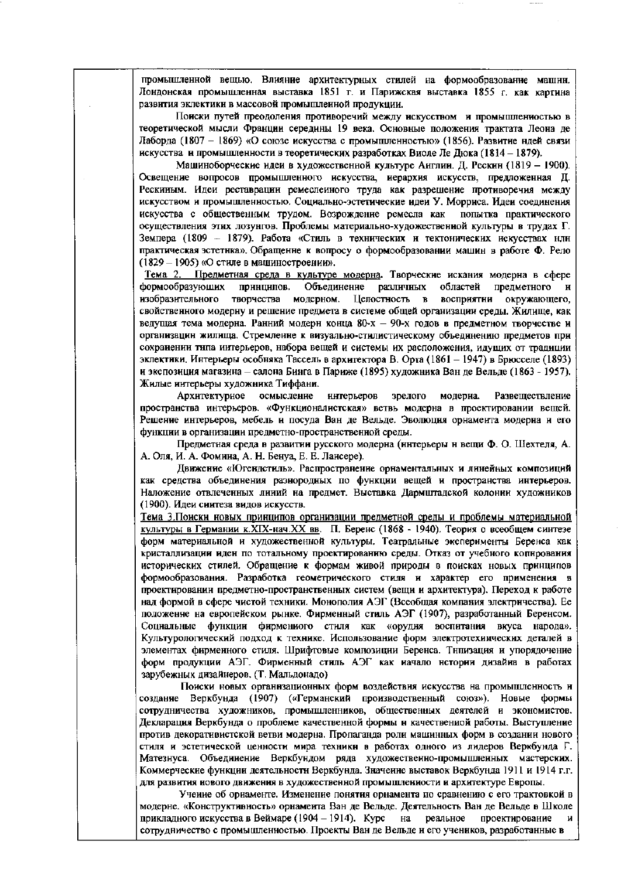промышленной вещью. Влияние архитектурных стилей на формообразование машин. Лондонская промышленная выставка 1851 г. и Парижская выставка 1855 г. как картина развития эклектики в массовой промышлеиной продукции.

Поиски путей преодоления противоречий между искусством и промышлениостью в теоретической мысли Франции середины 19 века. Основные положения трактата Леона де Лаборда (1807 - 1869) «О союзе искусства с промышленностью» (1856). Развитие ндей связи искусства и промышленности в теоретических разработках Виоле Ле Дюка (1814 - 1879).

Машиноборческие идеи в художественной культуре Англин. Д. Рескин (1819 - 1900). Освещение вопросов промышленного искусства, иерархия искусств, предложенная Д. Рескиным. Идеи реставрации ремеслеиного труда как разрешение противоречия между искусством и промышленностью. Социально-эстетические идеи У. Морриса. Идеи соединения искусства с общественным трудом. Возрождение ремесла как попытка практического осуществления этих лозунгов. Проблемы материально-художественной культуры в трудах Г. Земпера (1809 - 1879). Работа «Стиль в технических и тектонических искусствах или практическая эстетнка». Обращенне к вопросу о формообразовании машин в работе Ф. Рело (1829 - 1905) «О стиле в машиностроении».

Тема 2. Предметная среда в культуре модерна. Творческие искания модерна в сфере формообразующих Объединение различных принципов. областей предметного и изобразительного творчества модерном. Целостность в восприятни окружающего, свойственного модерну и решение предмета в системе общей организации среды. Жилище, как ведущая тема модерна. Ранний модерн конца 80-х - 90-х годов в предметном творчестве и организации жилища. Стремленне к визуально-стилистическому объединению предметов при сохранении типа интерьеров, набора вещей и системы их расположения, идущих от традиции эклектики. Интерьеры особняка Тассель в архитектора В. Орта (1861 - 1947) в Брюсселе (1893) н экспозиция магазина - салона Бинга в Париже (1895) художника Ван де Вельде (1863 - 1957). Жилые интерьеры художника Тиффани.

Архитектурное осмысление интерьеров зрелого модериа. Развеществление пространства интерьеров. «Функционалистская» ветвь модерна в проектировании вещей. Решение интерьеров, мебель и посуда Ван де Вельде. Эволюция орнамента модерна и его функции в организации предметно-пространственной среды.

Предметная среда в развитии русского модерна (нитерьеры н вещи Ф. О. Шехтеля, А. А. Оля, И. А. Фомниа, А. Н. Бенуа, Е. Е. Лансере).

Движение «Югендстиль». Распространение орнаментальных и линейных композиций как средства объединения разнородных по функции вещей и пространства интерьеров. Наложение отвлеченных линий на предмет. Выставка Дармштадской колонии художников (1900). Идеи синтеза видов искусств.

Тема 3. Понски новых принципов организации предметной среды и проблемы материальной культуры в Германии к.XIX-нач.XX вв. П. Беренс (1868 - 1940). Теория о всеобщем синтезе форм материальной и художественной культуры. Театральные эксперименты Беренса как кристаллизации иден по тотальному проектированию среды. Отказ от учебного копнрования исторических стилей. Обращение к формам живой природы в поисках новых принципов формообразования. Разработка геометрического стиля и характер его применения в проектировании предметно-пространственных систем (вещи и архитектура). Переход к работе над формой в сфере чистой техники. Монополия АЭГ (Всеобщая компания электричества). Ее положенне на европейском рынке. Фирменный стиль АЭГ (1907), разработанный Беренсом. Социальные функции фирмениого стиля как «орудия воспитания вкуса народа». Культурологический подход к технике. Использование форм электротехнических деталей в элементах фирменного стиля. Шрифтовые композиции Беренса. Тнпизация и упорядочение форм продукции АЭГ. Фирменный стиль АЭГ как начало нетории дизайна в работах зарубежных дизайнеров. (Т. Мальдонадо)

Поиски новых организационных форм воздействия искусства на промышленность и созданне Веркбунда (1907) («Германский производственный союз»). Новые формы сотрудничества художников, промышленников, общественных деятелей и экономистов. Декларация Веркбунда о проблеме качественной формы и качественной работы. Выступление против декоративистской ветви модерна. Пропаганда роли машинных форм в создании нового стиля и эстетической ценности мира техники в работах одного из лидеров Веркбунда Г. Матезнуса. Объединение Веркбундом ряда художественно-промышленных мастерских. Коммерческие функции деятельности Веркбунда. Значение выставок Веркбунда 1911 и 1914 г.г. для развития нового движения в художественной промышленности и архитектуре Европы.

Учение об ориаменте. Изменение понятия орнамента по сравнению с его трактовкой в модерне. «Конструктивность» орнамента Ван де Вельде. Деятельность Ван де Вельде в Школе прикладного искусства в Веймаре (1904 - 1914). Курс на реальное проектирование сотрудничество с промышленностью. Проекты Ван де Вельде и его учеников, разработанные в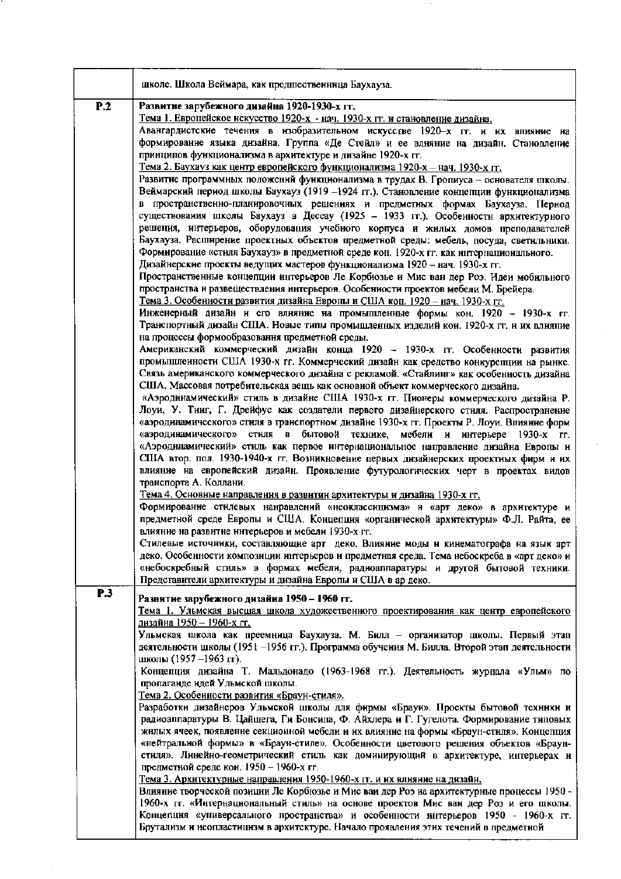|     | школе. Школа Веймара, как предшественннца Баухауза.                                                                                                                               |
|-----|-----------------------------------------------------------------------------------------------------------------------------------------------------------------------------------|
| P.2 | Развитие зарубежного дизайна 1920-1930-х гг.                                                                                                                                      |
|     | Тема 1. Европейское нскусство 1920-х - нач. 1930-х гг. и становление дизайна.                                                                                                     |
|     | Авангардистские течения в изобразительном искусстве 1920-х гг. и их влияние на<br>формирование языка дизайна. Группа «Де Стейл» и ее влияние на дизайн. Становление               |
|     | принципов функционализма в архитектуре и дизайне 1920-х гг.                                                                                                                       |
|     | Тема 2. Баухауз как центр европейского функционализма 1920-х - нач. 1930-х гг.                                                                                                    |
|     | Развитие программных положений функционализма в трудах В. Гропиуса - основателя школы.                                                                                            |
|     | Веймарский период школы Баухауз (1919 -1924 гг.). Становление концепции функционализма                                                                                            |
|     | в пространственно-планировочных решениях и предметных формах Баухауза. Период                                                                                                     |
|     | существования школы Баухауз в Дессау (1925 - 1933 гг.). Особенностн архитектурного                                                                                                |
|     | решения, интерьеров, оборудования учебного корпуса и жилых домов преподавателей                                                                                                   |
|     | Баухауза. Расширение проектных объектов предметной среды: мебель, посуда, светильники.                                                                                            |
|     | Формирование «стиля Баухауз» в предметной среде кон. 1920-х гг. как интернационального.<br>Дизайнерские проекты ведущих мастеров функционализма 1920 - нач. 1930-х гг.            |
|     | Пространственные концепции интерьеров Ле Корбюзье и Мис ван дер Роэ. Идеи мобильного                                                                                              |
|     | пространства и развеществления интерьеров. Особенности проектов мебели М. Брейера.                                                                                                |
|     | Тема 3. Особенности развития дизайна Евроны и США кон. 1920 - нач. 1930-х гг.                                                                                                     |
|     | Инженерный дизайн и его влияние на промышленные формы кон. 1920 - 1930-х гг.                                                                                                      |
|     | Транспортный дизайн США. Новые типы промышленных изделий кои. 1920-х гг. и их влияние                                                                                             |
|     | на процессы формообразования предметной среды.                                                                                                                                    |
|     | Американский коммерческий дизайн конца 1920 - 1930-х гг. Особенности развития                                                                                                     |
|     | промышленности США 1930-х гг. Коммерческий дизайн как средство конкурепции на рынке.<br>Связь американского коммерческого дизайна с рекламой. «Стайлинг» как особенность дизайна  |
|     | США. Массовая потребительская вещь как основной объект коммерческого дизайна.                                                                                                     |
|     | «Аэродинамический» стиль в дизайне США 1930-х гг. Пионеры коммерческого дизайна Р.                                                                                                |
|     | Лоуи, У. Тинг, Г. Дрейфус как создатели первого дизайнерского стиля. Распространение                                                                                              |
|     | «аэродинамического» стиля в транспортном дизайне 1930-х гг. Проекты Р. Лоуи. Влияние форм                                                                                         |
|     | «аэродинамического» стиля в бытовой технике,<br>мебели и интерьере 1930-х гг.                                                                                                     |
|     | «Аэродинамический» стиль как первое интернациональное направление дизайна Европы и                                                                                                |
|     | США втор. пол. 1930-1940-х гг. Возникновение первых дизайнерских проектных фирм и их<br>влияние на европейский дизайн. Проявление футурологических черт в проектах видов          |
|     | транспорта А. Коллани.                                                                                                                                                            |
|     | Тема 4. Основные направления в развитии архитектуры и дизайна 1930-х гг.                                                                                                          |
|     | Формирование стилевых нанравлений «неоклассицизма» и «арт деко» в архитектуре и                                                                                                   |
|     | предметной среде Европы и США. Концепция «органической архитектуры» Ф.Л. Райта, ее                                                                                                |
|     | влияние на развитие интерьеров и мебели 1930-х гг.                                                                                                                                |
|     | Стилевые источники, составляющие арт деко. Влияние моды и кинематографа на язык арт                                                                                               |
|     | деко. Особенности композиции интерьеров и предметная среда. Тема небоскреба в «арт деко» и<br>«небоскребный стиль» в формах мебели, радиоаппаратуры и другой бытовой техники.     |
|     | Представители архитектуры и дизайна Европы и США в ар деко.                                                                                                                       |
| P.3 |                                                                                                                                                                                   |
|     | Развитие зарубежного дизайна 1950 - 1960 гг.<br>Тема 1. Ульмская высшая школа художественного проектирования как центр европейского                                               |
|     | <u>дизайна 1950 – 1960-х гг.</u>                                                                                                                                                  |
|     | Ульмская школа как преемница Баухауза. М. Билл - организатор школы. Первый этап                                                                                                   |
|     | деятельности школы (1951 -1956 гг.). Программа обучения М. Билла. Второй этап деятельности                                                                                        |
|     | школы (1957 –1963 гг).                                                                                                                                                            |
|     | Концепция дизайна Т. Мальдонадо (1963-1968 гг.). Деятельность журнала «Ульм» по                                                                                                   |
|     | пропаганде ндей Ульмской школы.                                                                                                                                                   |
|     | <u>Темв 2. Особенности развития «Браун-стиля».</u><br>Разработки дизайнеров Ульмской школы для фирмы «Брауи». Проекты бытовой техники и                                           |
|     | радиоаппаратуры В. Цайшега, Ги Бонсипа, Ф. Айхлера и Г. Гугелота. Формирование типовых                                                                                            |
|     | жилых ячеек, появление секционной мебели и их влияние на формы «Браун-стиля». Концепция                                                                                           |
|     | «нейтральной формы» в «Браун-стиле». Особенности цветового решения объектов «Браун-                                                                                               |
|     | стиля». Линейно-геометрический стиль как доминирующий в архитектуре, интерьерах и                                                                                                 |
|     | предметной среде кои. 1950 - 1960-х гг.                                                                                                                                           |
|     | Тема 3. Архитектурные направления 1950-1960-х гг. и их влияние на дизайн.                                                                                                         |
|     | Влияние творческой позиции Ле Корбюзье и Мис ваи дер Роз на архитектурные процессы 1950 -<br>1960-х гг. «Интернациональный стиль» на основе проектов Мис ван дер Роз и его школы. |
|     | Концепция «универсального пространства» и особеиности интерьеров 1950 - 1960-х гг.                                                                                                |
|     | Брутализм и неопластицизм в архитектуре. Начало проявления этих течений в предметной                                                                                              |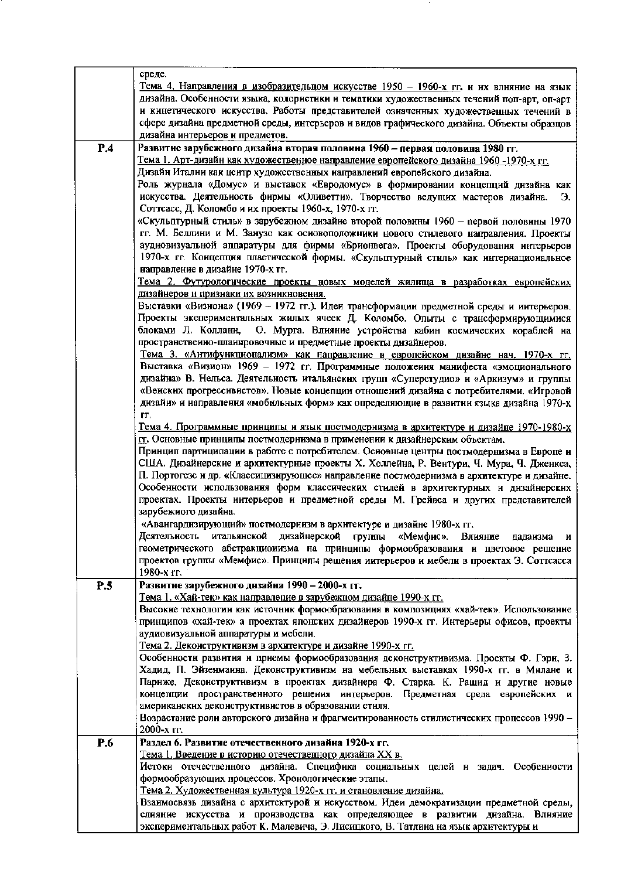|     | среде.                                                                                                                                 |
|-----|----------------------------------------------------------------------------------------------------------------------------------------|
|     | Тема 4. Направления в изобразительном искусстве 1950 - 1960-х гг. и их влияние на язык                                                 |
|     | дизайна. Особенности языка, колористики и тематики художественных течений поп-арт, оп-арт                                              |
|     | и кинетического искусства. Работы представителей озиаченных художественных течений в                                                   |
|     | сфере дизайна предметной среды, интерьеров и видов графического дизайна. Объекты образцов                                              |
|     | дизайна интерьеров и предметов.                                                                                                        |
| P.4 | Развитие зарубежного дизайна вторая половина 1960 - первая половина 1980 гг.                                                           |
|     | Тема 1. Арт-дизайн как художественное направление европейского дизайна 1960 -1970-х гг.                                                |
|     | Дизайн Италии как центр художественных иаправлений европейского дизайна.                                                               |
|     | Роль журнала «Домус» и выставок «Евродомус» в формировании концепций дизайна как                                                       |
|     | искусства. Деятельность фирмы «Оливетти». Творчество ведущих мастеров дизайна.<br>Э.                                                   |
|     | Соттсасс, Д. Коломбо и их проекты 1960-х, 1970-х гг.                                                                                   |
|     | «Скульптурный стиль» в зарубежном дизайне второй половины 1960 - первой половины 1970                                                  |
|     | гг. М. Беллини и М. Занузо как основоположники нового стилевого направления. Проекты                                                   |
|     | аудиовизуальной аппаратуры для фирмы «Брионвега». Проекты оборудования интерьеров                                                      |
|     | 1970-х гг. Концепция пластической формы. «Скульптурный стиль» как интернациональное                                                    |
|     | направление в дизайне 1970-х гг.                                                                                                       |
|     | Тема 2. Футурологические проекты новых моделей жилища в разработках европейских                                                        |
|     | дизайнеров и признаки их возникновения.                                                                                                |
|     | Выставки «Визнона» (1969 - 1972 гг.). Иден трансформации предметной среды и интерьеров.                                                |
|     | Проекты экспериментальных жилых ячеек Д. Коломбо. Опыты с трансформирующимися                                                          |
|     | О. Мурга. Влияние устройства кабин космических кораблей на<br>блоками Л. Коллани,                                                      |
|     | пространственно-планировочные и предметные проекты дизайнеров.                                                                         |
|     | <u>Тема 3. «Антифункционализм» как направление в европейском дизайне нач. 1970-х гг.</u>                                               |
|     | Выставка «Визион» 1969 - 1972 гг. Программные положения манифеста «эмоционального                                                      |
|     | дизайна» В. Нельса. Деятельность итальянских групп «Суперстудио» и «Аркизум» и группы                                                  |
|     | «Венских прогрессивистов». Новые концепции отношений дизайна с потребителями. «Игровой                                                 |
|     | дизайн» и направления «мобильных форм» как определяющие в развитии языка дизайна 1970-х                                                |
|     | ΓГ.                                                                                                                                    |
|     | Тема 4. Программные принципы и язык постмодернизма в архитектуре и дизайне 1970-1980-х                                                 |
|     | гд. Основные принципы постмодернизма в применении к дизайнерским объектам.                                                             |
|     | Принцип партиципации в работе с потребителем. Основные центры постмодернизма в Европе и                                                |
|     | США. Дизайнерские и архитектурные проекты Х. Холлейна, Р. Вентури, Ч. Мура, Ч. Дженкса,                                                |
|     | П. Портогезе и др. «Классицизирующее» направление постмодернизма в архитектуре и дизайне.                                              |
|     | Особенности использования форм классических стилей в архитектурных и дизайнерских                                                      |
|     | проектах. Проекты интерьеров и предметной среды М. Грейвса и других представителей                                                     |
|     | зарубежного дизайна.                                                                                                                   |
|     | «Аваигардизирующий» постмодернизм в архитектуре и дизайне 1980-х гг.                                                                   |
|     | Деятельность итальянской дизайнерской группы «Мемфис». Влияние<br>лалаизма<br>и                                                        |
|     | геометрического абстракционизма на принципы формообразования и цветовое решение                                                        |
|     | проектов группы «Мемфис». Принципы решения интерьеров и мебели в проектах Э. Соттсасса                                                 |
|     | 1980-х гг.                                                                                                                             |
| P.5 | Развитие зарубежного дизайна 1990 - 2000-х гг.                                                                                         |
|     | <u>Тема 1. «Хай-тек» как направление в зарубежном дизайне 1990-х гг.</u>                                                               |
|     | Высокие технологии как источник формообразования в композициях «хай-тек». Использование                                                |
|     | принципов «хай-тек» а проектах японских дизайнеров 1990-х гг. Интерьеры офисов, проекты                                                |
|     | аудиовизуальной аппаратуры и мебели.                                                                                                   |
|     | Тема 2. Декоиструктивизм в архитектуре и дизайне 1990-х гг.                                                                            |
|     | Особенности развития и приемы формообразования деконструктивизма. Проекты Ф. Гэри, З.                                                  |
|     | Хадид, П. Эйзенманна. Деконструктивизм на мебельных выставках 1990-х гг. в Милане и                                                    |
|     | Парнже. Деконструктивизм в проектах дизайнера Ф. Старка. К. Рашид и другие новые                                                       |
|     | концепции пространственного решения интерьеров. Предметная среда европейских и<br>американских деконструктивистов в образовании стиля. |
|     | Возрастание роли авторского дизайна и фрагмеитированность стилистических процессов 1990 -                                              |
|     | 2000-х гг.                                                                                                                             |
| P.6 | Раздел 6. Развитие отечественного дизайна 1920-х гг.                                                                                   |
|     | <u>Тема 1. Введение в историю отечественного дизайна XX в.</u>                                                                         |
|     | Истоки отечественного дизайна. Специфика социальных целей и задач. Особенности                                                         |
|     | формообразующих процессов. Хронологические этапы.                                                                                      |
|     | Тема 2. Художественная культура 1920-х гг. и становление дизайна.                                                                      |
|     | Взаимосвязь дизайна с архитектурой и искусством. Идеи демократизации предметной среды,                                                 |
|     | слияние искусства и производства как определяющее в развитии дизайна. Влняние                                                          |
|     | экспериментальных работ К. Малевича, Э. Лисицкого, В. Татлина на язык архитектуры и                                                    |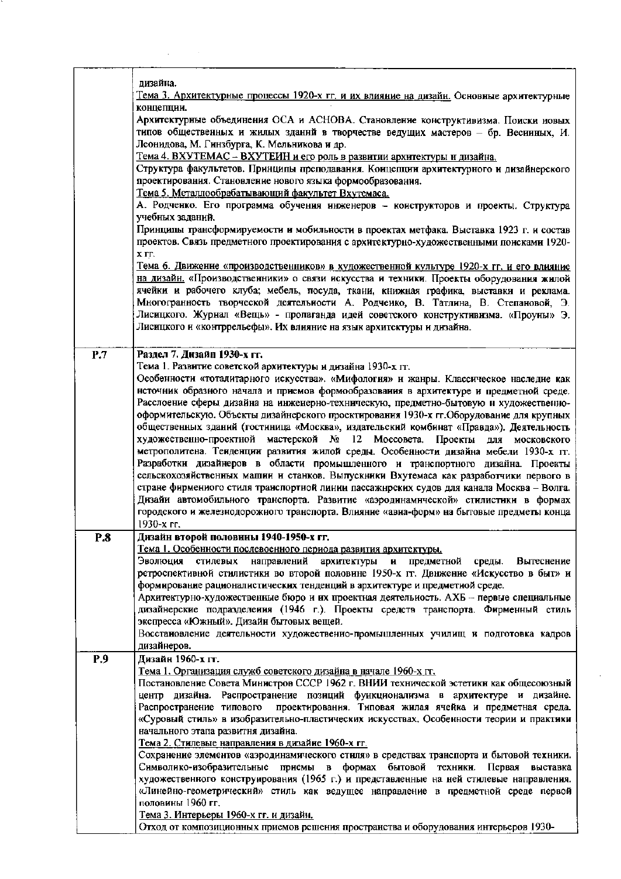|     | дизайна.                                                                                                                                                                  |
|-----|---------------------------------------------------------------------------------------------------------------------------------------------------------------------------|
|     | Тема 3. Архитектурные процессы 1920-х гг. и их влияние на дизайн. Основные архитектурные                                                                                  |
|     | концепции.                                                                                                                                                                |
|     | Архитектурные объединения ОСА и АСНОВА. Становление конструктивизма. Поиски новых                                                                                         |
|     | типов общественных и жилых зданнй в творчестве ведущих мастеров - бр. Весииных, И.                                                                                        |
|     | Леонидова, М. Гинзбурга, К. Мельникова и др.                                                                                                                              |
|     | Тема 4. ВХУТЕМАС - ВХУТЕИН и его роль в развитии архитектуры и дизайна.                                                                                                   |
|     | Структура факультетов. Принципы преподавания. Концепции архитектурного и дизайнерского                                                                                    |
|     | проектирования. Становление нового языка формообразования.                                                                                                                |
|     | Тема 5. Металлообрабатывающий факультет Вхутемаса.                                                                                                                        |
|     | А. Родченко. Его программа обучения инженеров - конструкторов и проекты. Структура                                                                                        |
|     | учебных заданий.                                                                                                                                                          |
|     | Принципы трансформируемости и мобильности в проектах метфака. Выставка 1923 г. и состав                                                                                   |
|     | проектов. Связь предметного проектирования с архитектурно-художественными поисками 1920-                                                                                  |
|     | <b>Х</b> ГГ.                                                                                                                                                              |
|     | <u>Тема 6. Движение «производственников» в художественной культуре 1920-х гг. и его влияние</u>                                                                           |
|     | на дизайн. «Производственники» о связи искусства и техники. Проекты оборудования жилой                                                                                    |
|     | ячейки и рабочего клуба; мебель, посуда, ткани, книжная графика, выставки и реклама.<br>Многогранность творческой деятельности А. Родченко, В. Татлина, В. Степановой, Э. |
|     | Лисицкого. Журнал «Вещь» - пропаганда идей советского конструктивизма. «Проуны» Э.                                                                                        |
|     | Лисицкого и «контррельефы». Их влияние на язык архитектуры и дизайна.                                                                                                     |
|     |                                                                                                                                                                           |
| P.7 | Раздел 7. Дизайн 1930-х гг.                                                                                                                                               |
|     | Тема 1. Развитие советской архитектуры и дизайна 1930-х гг.                                                                                                               |
|     | Особенности «тоталитарного искусства». «Мифология» и жанры. Классическое наследие как                                                                                     |
|     | нсточник образного начала и приемов формообразования в архитектуре и предметной среде.                                                                                    |
|     | Расслоение сферы дизайна на инженерно-техническую, предметно-бытовую и художественно-                                                                                     |
|     | оформительскую. Объекты дизайнерского проектирования 1930-х гг. Оборудование для крупных                                                                                  |
|     | общественных зданий (гостиница «Москва», издательский комбинат «Правда»). Деятельность                                                                                    |
|     | художественно-проектной мастерской № 12 Моссовета. Проекты для московского                                                                                                |
|     | метрополитена. Теиденции развития жилой среды. Особенности дизайна мебели 1930-х гг.                                                                                      |
|     | Разработки дизайнеров в области промышленного и транспортного дизайна. Проекты                                                                                            |
|     | сельскохозяйственных машии и станков. Выпускники Вхутемаса как разработчики первого в                                                                                     |
|     | стране фирмениого стиля транспортной линии пассажнрских судов для канала Москва - Волга.                                                                                  |
|     | Дизайи автомобильного транспорта. Развитие «аэродинамической» стилистики в формах                                                                                         |
|     | городского и железнодорожного транспорта. Влияние «авиа-форм» на бытовые предметы конца                                                                                   |
|     | 1930-х гг.                                                                                                                                                                |
| P.8 | Лизайн второй половины 1940-1950-х гг.                                                                                                                                    |
|     | Тема 1. Особенности послевоенного периода развития архитектуры.<br>Эволюция стилевых<br>направлений архитектуры<br>предметной среды.<br>Вытеснение                        |
|     | $\mathbf{H}$<br>ретроспективной стилистики во второй половине 1950-х гг. Двнжение «Искусство в быт» и                                                                     |
|     | формирование рационалистических тенденций в архитектуре и предметной среде.                                                                                               |
|     | Архитектурно-художественные бюро и их проектная деятельность. АХБ - первые специальные                                                                                    |
|     | дизайнерские подразделения (1946 г.). Проекты средств транспорта. Фирменный стиль                                                                                         |
|     | экспресса «Южный». Дизайн бытовых вещей.                                                                                                                                  |
|     | Восстановление деятельности художественно-промышленных училищ и подготовка кадров                                                                                         |
|     | дизайнеров.                                                                                                                                                               |
| P.9 | Дизайн 1960-х гг.                                                                                                                                                         |
|     | Тема 1. Организация служб советского дизайна в начале 1960-х гг.                                                                                                          |
|     | Постановление Совета Министров СССР 1962 г. ВНИИ технической эстетики как общесоюзный                                                                                     |
|     | центр дизайна. Распространение позиций функционализма в архитектуре и дизайне.                                                                                            |
|     | проектирования. Типовая жилая ячейка и предметная среда.<br>Распространение типового                                                                                      |
|     | «Суровый стиль» в изобразительно-пластических искусствах. Особенности теории и практики                                                                                   |
|     | начального этапа развитня дизайна.                                                                                                                                        |
|     | Тема 2. Стилевые направления в дизайие 1960-х гг.<br>Сохранение элементов «аэродинамического стиля» в средствах транспорта и бытовой техники.                             |
|     | Символико-изобразительные приемы в формах бытовой<br>техники.<br>Первая<br>выставка                                                                                       |
|     | художественного конструирования (1965 г.) и представленные на ней стилевые направления.                                                                                   |
|     | «Линейно-геометрический» стиль как ведущее направление в предметной среде первой                                                                                          |
|     | половины 1960 гг.                                                                                                                                                         |
|     | Тема 3. Интерьеры 1960-х гг. и дизайн.                                                                                                                                    |
|     | Отход от композиционных приемов решения пространства и оборудования интерьеров 1930-                                                                                      |

 $\cdot$ 

 $\label{eq:2} \frac{1}{\sqrt{2}}\int_{\mathbb{R}^3}\frac{1}{\sqrt{2}}\left(\frac{1}{\sqrt{2}}\right)^2\frac{dx}{dx}$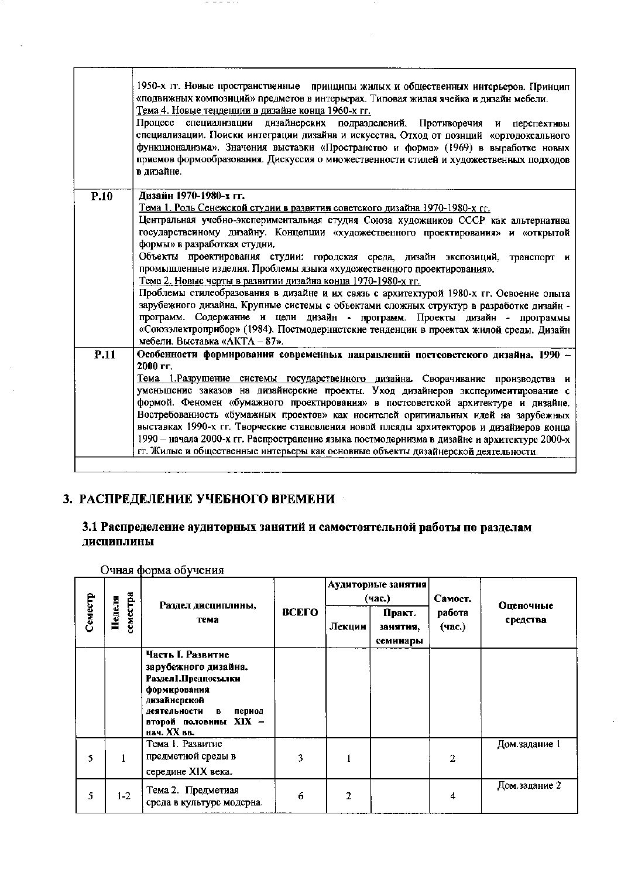|             | 1950-х гг. Новые пространственные принципы жилых и общественных интерьеров. Принцип<br>«подвижных композиций» предметов в интерьерах. Типовая жилая ячейка и дизайн мебели.<br><u>Тема 4. Новые тенденции в дизайне конца 1960-х гг.</u><br>Процесс<br>специализации дизайнерских подразделений. Противоречия и перспективы<br>специализации. Поиски интеграции дизайна и искусства. Отход от познций «ортодоксального<br>функционализма». Значения выставки «Пространство и форма» (1969) в выработке новых<br>приемов формообразования. Дискуссия о множественности стилей и художественных подходов<br>в дизайне. |
|-------------|----------------------------------------------------------------------------------------------------------------------------------------------------------------------------------------------------------------------------------------------------------------------------------------------------------------------------------------------------------------------------------------------------------------------------------------------------------------------------------------------------------------------------------------------------------------------------------------------------------------------|
| P.10        | Дизайн 1970-1980-х гг.                                                                                                                                                                                                                                                                                                                                                                                                                                                                                                                                                                                               |
|             | Тема 1. Роль Сенежской студии в развитии советского дизайна 1970-1980-х гг.                                                                                                                                                                                                                                                                                                                                                                                                                                                                                                                                          |
|             | Центральная учебно-экспериментальная студия Союза художников СССР как альтернатива                                                                                                                                                                                                                                                                                                                                                                                                                                                                                                                                   |
|             | государственному дизайну. Концепции «художественного проектирования» и «открытой<br>формы» в разработках студни.                                                                                                                                                                                                                                                                                                                                                                                                                                                                                                     |
|             |                                                                                                                                                                                                                                                                                                                                                                                                                                                                                                                                                                                                                      |
|             | Объекты проектирования студии: городская среда, дизайн экспозиций,<br>транспорт и<br>промышленные изделия. Проблемы языка «художественного проектирования».                                                                                                                                                                                                                                                                                                                                                                                                                                                          |
|             | Тема 2. Новые черты в развитии дизайна конца 1970-1980-х гг.                                                                                                                                                                                                                                                                                                                                                                                                                                                                                                                                                         |
|             | Проблемы стилеобразования в дизайне и их связь с архитектурой 1980-х гг. Освоение опыта                                                                                                                                                                                                                                                                                                                                                                                                                                                                                                                              |
|             | зарубежного дизайна. Крупные системы с объектами сложных структур в разработке дизайн -                                                                                                                                                                                                                                                                                                                                                                                                                                                                                                                              |
|             | программ. Содержание и цели дизайн - программ. Проекты дизайн - программы                                                                                                                                                                                                                                                                                                                                                                                                                                                                                                                                            |
|             | «Союзэлектроприбор» (1984). Постмодернистские тенденции в проектах жилой среды. Дизайн                                                                                                                                                                                                                                                                                                                                                                                                                                                                                                                               |
|             | мебели. Выставка «АКТА - 87».                                                                                                                                                                                                                                                                                                                                                                                                                                                                                                                                                                                        |
| <b>P.11</b> | Особенности формирования современных направлений постсоветского дизайна. 1990 -                                                                                                                                                                                                                                                                                                                                                                                                                                                                                                                                      |
|             | 2000 гг.                                                                                                                                                                                                                                                                                                                                                                                                                                                                                                                                                                                                             |
|             | Тема 1. Разрушение системы государственного дизайна. Сворачивание производства и                                                                                                                                                                                                                                                                                                                                                                                                                                                                                                                                     |
|             | уменьшение заказов на дизайнерские проекты. Уход дизайнеров эксперимеитирование с                                                                                                                                                                                                                                                                                                                                                                                                                                                                                                                                    |
|             | формой. Феномен «бумажного проектирования» в постсоветской архитектуре и дизайне.                                                                                                                                                                                                                                                                                                                                                                                                                                                                                                                                    |
|             | Востребованность «бумажных проектов» как носителей оригинальных идей на зарубежных                                                                                                                                                                                                                                                                                                                                                                                                                                                                                                                                   |
|             | выставках 1990-х гг. Творческие становления новой плеяды архитекторов и дизайиеров конца                                                                                                                                                                                                                                                                                                                                                                                                                                                                                                                             |
|             | 1990 - начала 2000-х гг. Распространение языка постмодернизма в дизайне и архитектуре 2000-х<br>гг. Жилые и общественные интерьеры как основные объекты дизайнерской деятельности.                                                                                                                                                                                                                                                                                                                                                                                                                                   |
|             |                                                                                                                                                                                                                                                                                                                                                                                                                                                                                                                                                                                                                      |
|             |                                                                                                                                                                                                                                                                                                                                                                                                                                                                                                                                                                                                                      |

# 3. РАСПРЕДЕЛЕНИЕ УЧЕБНОГО ВРЕМЕНИ

# 3.1 Распределение аудиторных занятий и самостоятельной работы по разделам<br>дисциплины

Очная форма обучения

|         |                    |                                                                                                                                                                          |              |        | Аудиторные занятия<br>(час.)   | Самост.          | Оценочные<br>средства |
|---------|--------------------|--------------------------------------------------------------------------------------------------------------------------------------------------------------------------|--------------|--------|--------------------------------|------------------|-----------------------|
| Семестр | земестра<br>Неделя | Раздел дисциплины,<br>тема                                                                                                                                               | <b>ВСЕГО</b> | Лекции | Практ.<br>занятня,<br>семинары | работа<br>(час.) |                       |
|         |                    | Часть I. Развитне<br>зарубежного дизайна.<br>Раздел1. Предпосылки<br>формирования<br>дизайнерской<br>деятельности<br>в<br>период<br>второй половины XIX -<br>нач. XX вв. |              |        |                                |                  |                       |
| 5       |                    | Тема I. Развитие<br>предметной среды в<br>середине XIX века.                                                                                                             | 3            |        |                                | 2                | Дом.задание 1         |
| 5       | $1-2$              | Тема 2. Предметиая<br>среда в культуре модерна.                                                                                                                          | 6            | 2      |                                | 4                | Дом.задание 2         |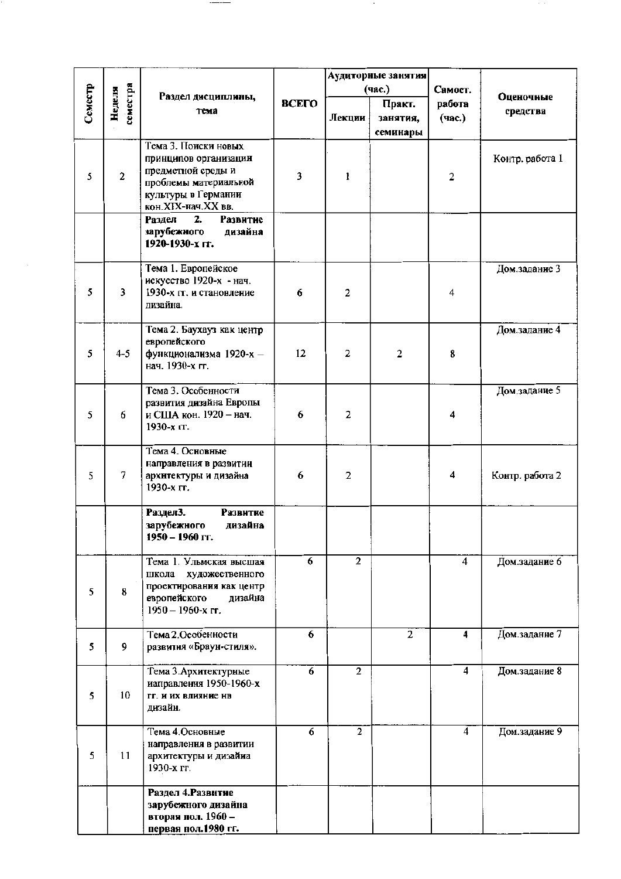|         |                    |                                                                                                                                           |              |                  | Аудиторные занятия             |                  |                 |
|---------|--------------------|-------------------------------------------------------------------------------------------------------------------------------------------|--------------|------------------|--------------------------------|------------------|-----------------|
|         |                    | Раздел дисциплины,                                                                                                                        |              |                  | (час.)                         | Самост.          | Оценочные       |
| Семестр | семестра<br>Неделя | тема                                                                                                                                      | <b>BCETO</b> | Лекции           | Практ.<br>занятия,<br>семинары | работа<br>(час.) | средства        |
| 5       | $\overline{2}$     | Тема 3. Поиски новых<br>принципов организации<br>предметной среды и<br>проблемы материальной<br>культуры в Германии<br>кон.XIX-нач.XX вв. | 3            | ı                |                                | $\overline{2}$   | Контр. работа 1 |
|         |                    | 2.<br><b>Развитие</b><br>Раздел<br>зарубежного<br>дизайна<br>1920-1930-х гг.                                                              |              |                  |                                |                  |                 |
| 5       | 3                  | Тема 1. Европейское<br>искусство 1920-х - нач.<br>1930-х гг. и становление<br>дизайна.                                                    | 6            | $\boldsymbol{2}$ |                                | 4                | Дом.задание 3   |
| 5       | $4 - 5$            | Тема 2. Баухауз как центр<br>европейского<br>функционализма 1920-х -<br>нач. 1930-х гг.                                                   | 12           | $\mathbf{2}$     | $\overline{2}$                 | 8                | Дом.задание 4   |
| 5       | 6                  | Тема 3. Особенности<br>развития дизайна Европы<br>и США кон. 1920 - нач.<br>1930-х гг.                                                    | 6            | 2                |                                | 4                | Дом.задание 5   |
| 5       | 7                  | Тема 4. Основные<br>направления в развитии<br>архнтектуры и дизайна<br>1930-х гг.                                                         | 6            | $\mathbf{2}$     |                                | 4                | Контр. работа 2 |
|         |                    | Раздел3.<br>Развитие<br>зарубежного<br>дизайна<br>1950 – 1960 гг.                                                                         |              |                  |                                |                  |                 |
| 5       | 8                  | Тема 1. Ульмская высшая<br>школа<br>художественного<br>проектирования как центр<br>европейского<br>дизайна<br>$1950 - 1960$ -x rr.        | 6            | $\overline{2}$   |                                | 4                | Дом.задание 6   |
| 5       | 9                  | Тема 2. Особенности<br>развития «Браун-стиля».                                                                                            | 6            |                  | $\overline{2}$                 | 4                | Дом.задание 7   |
| 5       | 10                 | Тема 3. Архитектурные<br>иаправления 1950-1960-х<br>гг. и их влияние нв<br>дизайн.                                                        | 6            | $\overline{2}$   |                                | $\overline{4}$   | Дом.задание 8   |
| 5       | 11                 | Тема 4.Основные<br>направления в развитии<br>архитектуры и дизайна<br>1930-х гг.                                                          | 6            | $\overline{2}$   |                                | 4                | Дом.задание 9   |
|         |                    | Раздел 4. Развитие<br>зарубежного дизайна<br>вторая пол. 1960 –<br>первая пол.1980 гг.                                                    |              |                  |                                |                  |                 |

 $\overline{\phantom{a}}$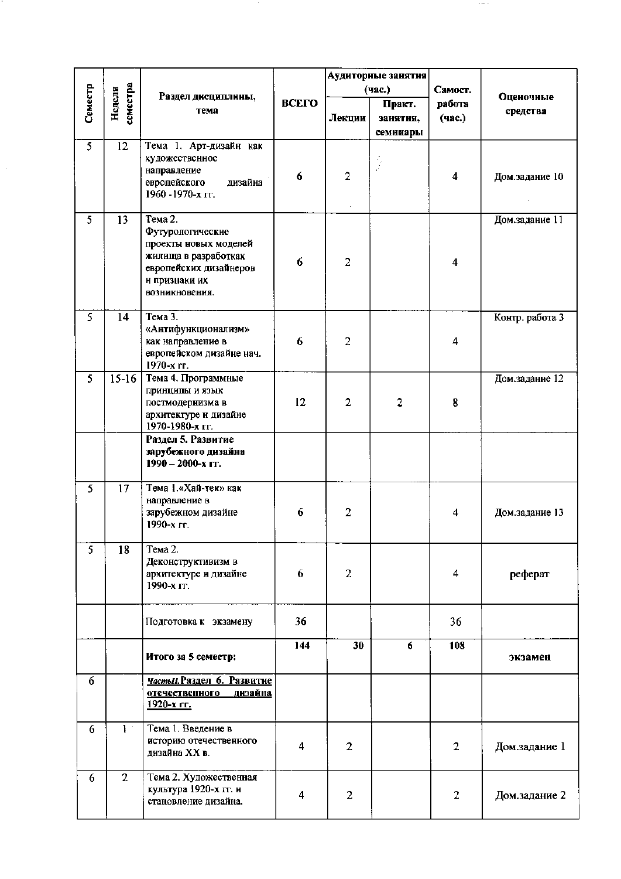|                |                    |                                              |       | Аудиторные занятия |          |                         |                 |
|----------------|--------------------|----------------------------------------------|-------|--------------------|----------|-------------------------|-----------------|
|                |                    |                                              |       |                    | (час.)   | Самост.                 |                 |
| Семестр        | семестра<br>Неделя | Раздел дисциплины,                           | ВСЕГО |                    | Практ.   | работа                  | Оценочные       |
|                |                    | тема                                         |       | Лекции             | занятия, | (час.)                  | средства        |
|                |                    |                                              |       |                    | семинары |                         |                 |
| $\overline{5}$ | $\overline{12}$    |                                              |       |                    |          |                         |                 |
|                |                    | Тема 1. Арт-дизайн как                       |       |                    |          |                         |                 |
|                |                    | художественное                               |       |                    |          |                         |                 |
|                |                    | направление                                  | 6     | $\overline{2}$     |          | $\overline{\mathbf{4}}$ | Дом.задание 10  |
|                |                    | европейского<br>дизайна<br>1960 - 1970-х гг. |       |                    |          |                         |                 |
|                |                    |                                              |       |                    |          |                         |                 |
| 5              | 13                 | Тема 2.                                      |       |                    |          |                         | Дом.задание 11  |
|                |                    | Футурологические                             |       |                    |          |                         |                 |
|                |                    | проекты новых моделей                        |       |                    |          |                         |                 |
|                |                    | жилища в разработках                         |       |                    |          |                         |                 |
|                |                    | европейских дизайнеров                       | 6     | $\overline{2}$     |          | $\overline{\mathbf{4}}$ |                 |
|                |                    | и признаки их                                |       |                    |          |                         |                 |
|                |                    | возникновения.                               |       |                    |          |                         |                 |
|                |                    |                                              |       |                    |          |                         |                 |
| 5              | 14                 | Тема 3.                                      |       |                    |          |                         | Контр. работа 3 |
|                |                    | «Антифункционализм»                          |       |                    |          |                         |                 |
|                |                    | как направление в                            | 6     | $\overline{2}$     |          | 4                       |                 |
|                |                    | европейском дизайне нач.                     |       |                    |          |                         |                 |
|                |                    | 1970-х гг.                                   |       |                    |          |                         |                 |
| 5              | $15-16$            | Тема 4. Программные                          |       |                    |          |                         | Дом.задание 12  |
|                |                    | принципы и язык                              |       |                    |          |                         |                 |
|                |                    | постмодернизма в                             | 12    | $\overline{2}$     | 2        | 8                       |                 |
|                |                    | архитектуре и дизайне                        |       |                    |          |                         |                 |
|                |                    | 1970-1980-х гг.                              |       |                    |          |                         |                 |
|                |                    | Раздел 5. Развитие                           |       |                    |          |                         |                 |
|                |                    | зарубежного дизайна                          |       |                    |          |                         |                 |
|                |                    | 1990 - 2000-х гг.                            |       |                    |          |                         |                 |
|                |                    |                                              |       |                    |          |                         |                 |
| 5              | 17                 | Тема 1.«Хай-тек» как                         |       |                    |          |                         |                 |
|                |                    | направление в<br>зарубежном дизайне          | 6     | $\overline{2}$     |          | $\overline{\mathbf{4}}$ | Дом.задание 13  |
|                |                    | 1990-х гг.                                   |       |                    |          |                         |                 |
|                |                    |                                              |       |                    |          |                         |                 |
| $\overline{5}$ | 18                 | Тема 2.                                      |       |                    |          |                         |                 |
|                |                    | Деконструктивизм в                           |       |                    |          |                         |                 |
|                |                    | архитектуре и дизайне                        | 6     | $\overline{2}$     |          | 4                       | реферат         |
|                |                    | 1990-х гг.                                   |       |                    |          |                         |                 |
|                |                    |                                              |       |                    |          |                         |                 |
|                |                    |                                              |       |                    |          |                         |                 |
|                |                    | Подготовка к экзамену                        | 36    |                    |          | 36                      |                 |
|                |                    |                                              |       |                    |          |                         |                 |
|                |                    |                                              | 144   | 30                 | 6        | 108                     |                 |
|                |                    | Итого за 5 семестр:                          |       |                    |          |                         | экзамен         |
| 6              |                    | Часты Л. Раздел 6. Развитие                  |       |                    |          |                         |                 |
|                |                    | <u>отечественного</u><br><u>дизайна</u>      |       |                    |          |                         |                 |
|                |                    | 1920-x rr.                                   |       |                    |          |                         |                 |
|                |                    |                                              |       |                    |          |                         |                 |
| 6              | 1 <sup>1</sup>     | Тема 1. Введение в                           |       |                    |          |                         |                 |
|                |                    | историю отечественного                       | 4     | $\overline{2}$     |          | $\overline{2}$          | Дом.задание 1   |
|                |                    | дизайна XX в.                                |       |                    |          |                         |                 |
|                |                    |                                              |       |                    |          |                         |                 |
| 6              | $\overline{2}$     | Тема 2. Художественная                       |       |                    |          |                         |                 |
|                |                    | культура 1920-х гг. и                        | 4     | $\overline{c}$     |          | $\overline{2}$          | Дом.задание 2   |
|                |                    | становление дизайна.                         |       |                    |          |                         |                 |
|                |                    |                                              |       |                    |          |                         |                 |

 $\sim$   $\sim$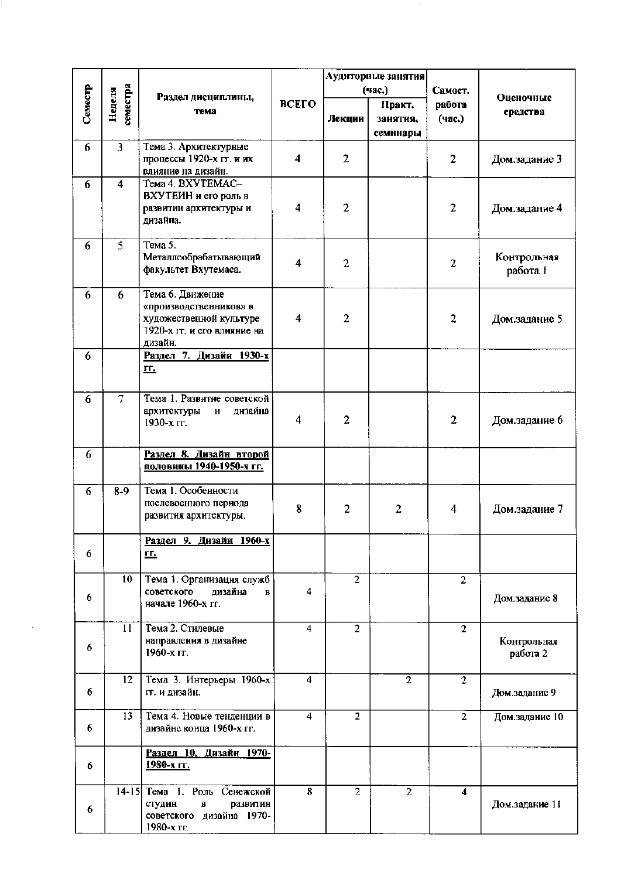|         |                         |                                                                                                                 |                         | Аудиторные занятия |                                |                     |                         |  |
|---------|-------------------------|-----------------------------------------------------------------------------------------------------------------|-------------------------|--------------------|--------------------------------|---------------------|-------------------------|--|
|         |                         | Раздел дисциплины,                                                                                              |                         |                    | (час.)                         | Самост.             | Оценочные               |  |
| Семестр | семестра<br>Неделя      | тема                                                                                                            | ВСЕГО                   | Лекции             | Практ.<br>занятия,<br>семинары | работа<br>(час.)    | средства                |  |
| 6       | $\overline{3}$          | Тема 3. Архитектурные<br>процессы 1920-х гг. и их<br>влияние на дизайн.                                         | $\overline{\mathbf{4}}$ | $\overline{2}$     |                                | 2                   | Дом.задание 3           |  |
| 6       | $\overline{\mathbf{4}}$ | Тема 4. BXУТЕМАС-<br>ВХУТЕИН и его роль в<br>развитии архитектуры и<br>дизайна.                                 | 4                       | $\overline{2}$     |                                | 2                   | Дом.задание 4           |  |
| 6       | $\overline{5}$          | Тема 5.<br>Металлообрабатывающий<br>факультет Вхутемаса.                                                        | 4                       | $\overline{a}$     |                                | 2                   | Контрольная<br>работа 1 |  |
| 6       | 6                       | Тема 6. Движение<br>«производственников» в<br>художественной культуре<br>1920-х гг. и его влияние на<br>дизайн. | $\overline{\mathbf{4}}$ | $\mathbf{2}$       |                                | $\overline{a}$      | Дом.задание 5           |  |
| 6       |                         | Раздел 7. Дизайн 1930-х<br><u>гг.</u>                                                                           |                         |                    |                                |                     |                         |  |
| 6       | $\overline{\tau}$       | Тема 1. Развитие советской<br>днзайна<br>архитектуры<br>$\, {\bf H}$<br>1930-х гг.                              | $\overline{4}$          | $\overline{2}$     |                                | 2                   | Дом.задание 6           |  |
| 6       |                         | Раздел 8. Дизайн второй<br>половниы 1940-1950-х гг.                                                             |                         |                    |                                |                     |                         |  |
| 6       | $8-9$                   | Тема 1. Особенности<br>послевоенного периода<br>развития архитектуры.                                           | 8                       | $\overline{2}$     | $\overline{2}$                 | 4                   | Дом.задание 7           |  |
| 6       |                         | <u>Раздел 9. Дизайн 1960-х</u><br><u>гг.</u>                                                                    |                         |                    |                                |                     |                         |  |
| 6       | 10                      | Тема 1. Организация служб<br>советского<br>дизайна<br>$\bf{B}$<br>начале 1960-х гг.                             | 4                       | $\overline{2}$     |                                | $\overline{2}$      | Дом.задание 8           |  |
| 6       | 11                      | Тема 2. Стилевые<br>направления в дизайне<br>1960-х гг.                                                         | 4                       | $\overline{2}$     |                                | $\overline{2}$      | Контрольная<br>работа 2 |  |
| 6       | 12                      | Тема 3. Интерьеры 1960-х<br>гг. и дизайн.                                                                       | $\blacktriangleleft$    |                    | $\overline{2}$                 | $\overline{2}$      | Дом.задание 9           |  |
| 6       | 13                      | Тема 4. Новые тенденции в<br>днзайне конца 1960-х гг.                                                           | 4                       | $\overline{2}$     |                                | $\overline{2}$      | Дом.задание 10          |  |
| 6       |                         | <u> Раздел 10. Дизайн 1970-</u><br>1980-x ΓΓ.                                                                   |                         |                    |                                |                     |                         |  |
| 6       |                         | 14-15 Тема 1. Роль Сенежской<br>студин<br>развитин<br>B<br>советского дизайна 1970-<br>1980-х гг.               | 8                       | $\overline{2}$     | $\overline{2}$                 | $\overline{\bf{4}}$ | Дом.задание 11          |  |

 $\sim$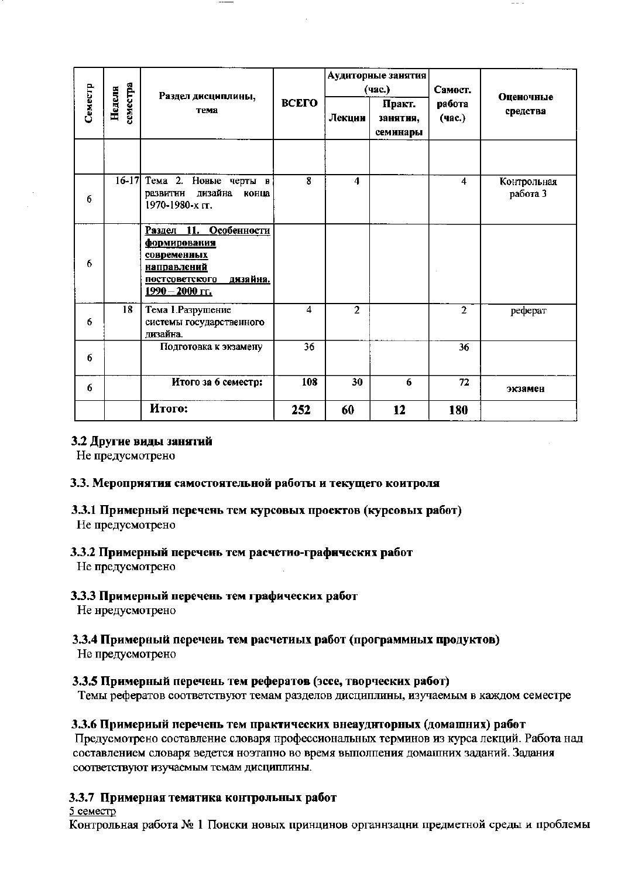|         |                    | Раздел дисциплины,<br>тема                                                                                                                  |       |                | Аудиторные занятия<br>(час.)   | Самост.          | <b>Оценочные</b><br>средства |
|---------|--------------------|---------------------------------------------------------------------------------------------------------------------------------------------|-------|----------------|--------------------------------|------------------|------------------------------|
| Семестр | семестра<br>Неделя |                                                                                                                                             | ВСЕГО | Лекции         | Практ.<br>занятия,<br>семинары | работа<br>(час.) |                              |
|         |                    |                                                                                                                                             |       |                |                                |                  |                              |
| 6       | $16-17$            | Тема 2. Новые черты в<br>развитии дизайна<br>конца<br>1970-1980-х гг.                                                                       | 8     | 4              |                                | 4                | Контрольная<br>работа 3      |
| 6       |                    | Раздел 11. Особенности<br>формирования<br><b>современных</b><br><u>направлений</u><br>днзайна.<br>постсоветского<br><u> 1990 – 2000 гг.</u> |       |                |                                |                  |                              |
| 6       | 18                 | Тема 1. Разрушение<br>системы государственного<br>дизайна.                                                                                  | 4     | $\overline{2}$ |                                | $\overline{2}$   | реферат                      |
| 6       |                    | Подготовка к экзамену                                                                                                                       | 36    |                |                                | 36               |                              |
| 6       |                    | Итого за 6 семестр:                                                                                                                         | 108   | 30             | 6                              | 72               | экзамен                      |
|         |                    | Итого:                                                                                                                                      | 252   | 60             | 12                             | 180              |                              |

### 3.2 Другие виды занятий

Не предусмотрено

### 3.3. Мероприятия самостоятельной работы и текущего коитроля

# 3.3.1 Примерный перечень тем курсовых проектов (курсовых работ)

Не предусмотрено

### 3.3.2 Примерный перечень тем расчетно-графических работ

Не предусмотрено

### 3.3.3 Примерный перечень тем графических работ

Не нредусмотрено

### 3.3.4 Примерный перечень тем расчетных работ (программных продуктов)

Не предусмотрено

### 3.3.5 Примерный перечень тем рефератов (эссе, творческих работ)

Темы рефератов соответствуют темам разделов дисциплины, изучаемым в каждом семестре

### 3.3.6 Примериый перечень тем практических внеаудиторных (домашних) работ

Предусмотрено составление словаря профессиональных терминов из курса лекций. Работа над составлением словаря ведется ноэтапно во время выполпения домашних заданий. Задания соответствуют изучаемым темам дисциплины.

### 3.3.7 Примерная тематика контрольных работ

5 семестр

Контрольная работа № 1 Поиски новых принцинов органнзацни предметной среды и проблемы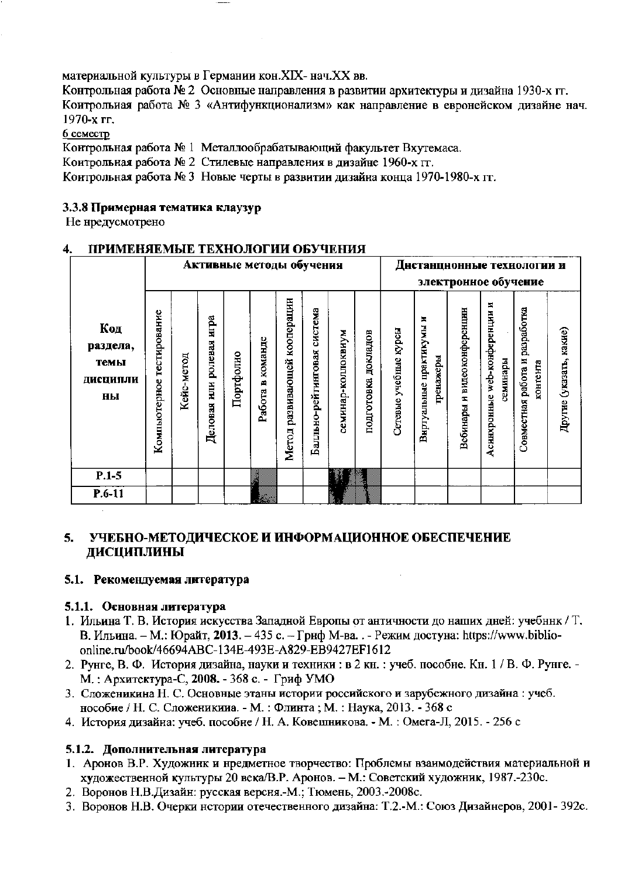материальной культуры в Германии кон. XIX- нач. XX вв.

Контрольная работа № 2 Основные направления в развитии архитектуры и дизайна 1930-х гг. Коитрольиая работа № 3 «Антифункционализм» как направление в евронейском дизайне нач. 1970-х гг.

6 семестр

Контрольная работа № 1 Металлообрабатывающий факультет Вхутемаса.

Контрольная работа № 2 Стилевые направления в дизайне 1960-х гг.

Контрольная работа № 3 Новые черты в развитии дизайна конца 1970-1980-х гг.

### 3.3.8 Примерная тематика клаузур

Не нредусмотрено

#### ПРИМЕНЯЕМЫЕ ТЕХНОЛОГИИ ОБУЧЕНИЯ  $\mathbf{4}$ .

|                                           |                              | Активные методы обучения |                                   |           |                  |                                 |                             | Днстанцнонные технологии и |                        |                       |                                              |                                |                                                 |                                            |                         |
|-------------------------------------------|------------------------------|--------------------------|-----------------------------------|-----------|------------------|---------------------------------|-----------------------------|----------------------------|------------------------|-----------------------|----------------------------------------------|--------------------------------|-------------------------------------------------|--------------------------------------------|-------------------------|
|                                           |                              |                          |                                   |           |                  |                                 |                             | электронное обучение       |                        |                       |                                              |                                |                                                 |                                            |                         |
| Код<br>раздела,<br>темы<br>ДИСЦИПЛИ<br>ны | тестирование<br>Компьютерное | метод<br>Keñc-           | игра<br>ролевая<br>HШН<br>Деловая | Портфолно | Работа в команде | кооперации<br>Метод развивающей | Балльно-рейтинговая система | семинар-коллоквиум         | докладов<br>подготовка | Сетевые учебные курсы | E,<br>практикумы<br>гренажеры<br>Внртуальные | и видеоконференции<br>Вебинары | z<br>web-конференции<br>семинары<br>Аснихронные | Совместная работа и разработка<br>контента | Другие (указать, какие) |
| $P.1-5$                                   |                              |                          |                                   |           | 3                |                                 |                             |                            |                        |                       |                                              |                                |                                                 |                                            |                         |
| $P.6-11$                                  |                              |                          |                                   |           | T.               |                                 |                             |                            |                        |                       |                                              |                                |                                                 |                                            |                         |

#### УЧЕБНО-МЕТОДИЧЕСКОЕ И ИНФОРМАЦИОННОЕ ОБЕСПЕЧЕНИЕ  $5.$ ДИСЦИПЛИНЫ

### 5.1. Рекомендуемая литература

### 5.1.1. Основная литература

- 1. Ильина Т. В. История искусства Западной Европы от античности до наших дней: учебник / Т. В. Ильина. - М.: Юрайт, 2013. - 435 с. - Гриф М-ва. . - Режим достуна: https://www.biblioonline.ru/book/46694ABC-134E-493E-A829-EB9427EF1612
- 2. Рунге, В. Ф. История дизайна, науки и техники: в 2 кн.: учеб. пособне. Кн. 1 / В. Ф. Рунге. -М.: Архитектура-С, 2008. - 368 с. - Гриф УМО
- 3. Сложеникина Н. С. Основные этаны истории российского и зарубежного дизайна : учеб. нособие / Н. С. Сложеникииа. - М.: Флинта; М.: Наука, 2013. - 368 с
- 4. История дизайна: учеб. пособне / Н. А. Ковешникова. М.: Омега-Л, 2015. 256 с

### 5.1.2. Дополнительная литература

- 1. Аронов В.Р. Художник и нредметное творчество: Проблемы взаимодействия материальной и художественной культуры 20 века/В.Р. Аронов. - М.: Советский художник, 1987.-230с.
- 2. Воронов Н.В.Дизайн: русская версня.-М.; Тюмень, 2003.-2008с.
- 3. Воронов Н.В. Очерки нстории отечественного дизайна: Т.2.-М.: Союз Дизайнеров, 2001- 392с.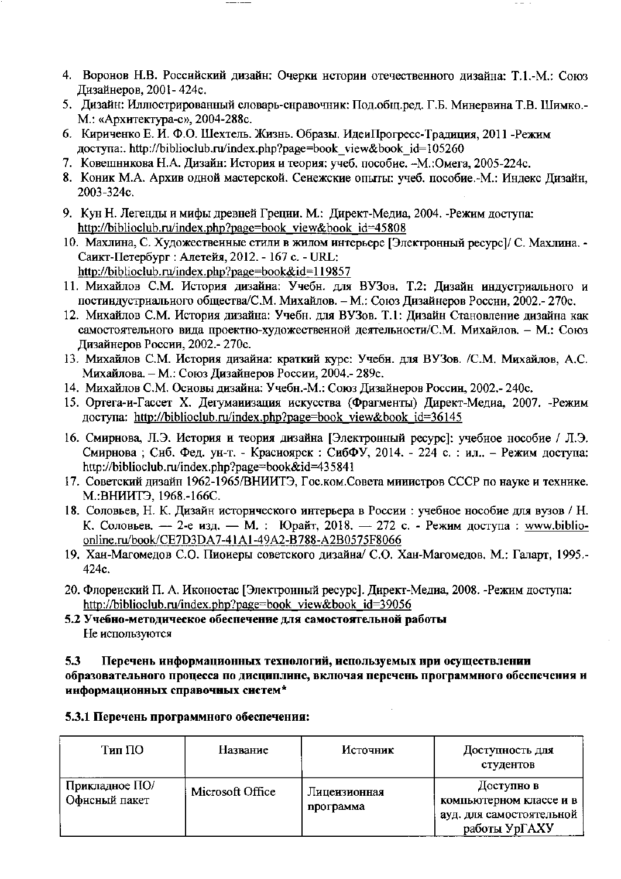- 4. Воронов Н.В. Российский дизайн: Очерки истории отечественного дизайна: Т.1.-М.: Союз Дизайнеров, 2001-424с.
- 5. Дизайн: Иллюстрированный словарь-снравочник: Под.общ.ред. Г.Б. Минервина Т.В. Шимко.-М.: «Архитектура-с», 2004-288с.
- 6. Кириченко Е. И. Ф.О. Шехтель. Жизнь. Образы. ИдеиПрогресс-Тралиция. 2011 Режим доступа: http://biblioclub.ru/index.php?page=book view&book id=105260
- 7. Ковешникова Н.А. Дизайн: История и теория: учеб. пособие. -М.:Омега, 2005-224с.
- 8. Коник М.А. Архив одной мастерской. Сенежские опыты: учеб. пособие.-М.: Индекс Лизайн. 2003-324c.
- 9. Кун Н. Легенды и мифы древней Грецни. М.: Директ-Медиа, 2004. Режим доступа: http://biblioclub.ru/index.php?page=book view&book id=45808
- 10. Махлина, С. Художественные стили в жилом интерьере [Электронный ресурс]/ С. Махлина. -Саикт-Петербург: Алетейя, 2012. - 167 с. - URL: http://biblioclub.ru/index.php?page=book&id=119857
- 11. Михайлов С.М. История дизайна: Учебн. для ВУЗов. Т.2: Дизайн индустриального и постиндустрнального общества/С.М. Михайлов. - М.: Союз Дизайнеров Россни, 2002.- 270с.
- 12. Михайлов С.М. История дизайна: Учебн. для ВУЗов. Т.1: Дизайн Становление дизайна как самостоятельного вида проектно-художественной деятельности/С.М. Михайлов. - М.: Союз Дизайнеров России, 2002.- 270с.
- 13. Михайлов С.М. История дизайна: краткий курс: Учебн. для ВУЗов. /С.М. Михайлов, А.С. Михайлова. - М.: Союз Дизайнеров России, 2004.- 289с.
- 14. Михайлов С.М. Основы дизайна: Учебн.-М.: Союз Дизайнеров Россин, 2002.- 240с.
- 15. Ортега-и-Гассет Х. Дегуманизация искусства (Фрагменты) Директ-Медиа, 2007. -Режим доступа: http://biblioclub.ru/index.php?page=book view&book id=36145
- 16. Смирнова, Л.Э. История и теория дизайна [Электронный ресурс]: учебное нособие / Л.Э. Смирнова; Сиб. Фед. ун-т. - Красноярск: СибФУ, 2014. - 224 с.: ил.. - Режим доступа: http://biblioclub.ru/index.php?page=book&id=435841
- 17. Советский дизайн 1962-1965/ВНИИТЭ, Гос.ком.Совета министров СССР по науке и технике. М.:ВНИИТЭ, 1968.-166С.
- 18. Соловьев, Н. К. Дизайн исторического интерьера в России : учебное нособие для вузов / Н. К. Соловьев. — 2-е изд. — М. : Юрайт, 2018. — 272 с. - Режим доступа : www.biblioonline.ru/book/CE7D3DA7-41A1-49A2-B788-A2B0575F8066
- 19. Хан-Магомедов С.О. Пиоиеры советского дизайна/ С.О. Хан-Магомедов. М.: Галарт, 1995.-424c.
- 20. Флореиский П. А. Иконостас [Электронный ресурс]. Директ-Медиа, 2008. -Режим доступа: http://biblioclub.ru/index.php?page=book view&book id=39056
- 5.2 Учебно-методическое обеспечение для самостоятельной работы Не используются

5.3 Перечень информационных технологий, используемых при осуществлении образовательного процесса по дисциплине, включая перечень программного обеспечения и информационных справочных систем\*

| 5.3.1 Перечень программного обеспечения: |  |
|------------------------------------------|--|
|------------------------------------------|--|

| Тип ПО                          | Название         | Источник                  | Доступность для<br>студентов                                                       |
|---------------------------------|------------------|---------------------------|------------------------------------------------------------------------------------|
| Прикладное ПО/<br>Офисный пакет | Microsoft Office | Лицензионная<br>программа | Доступно в<br>компьютерном классе и в<br>ауд. для самостоятельной<br>работы УрГАХУ |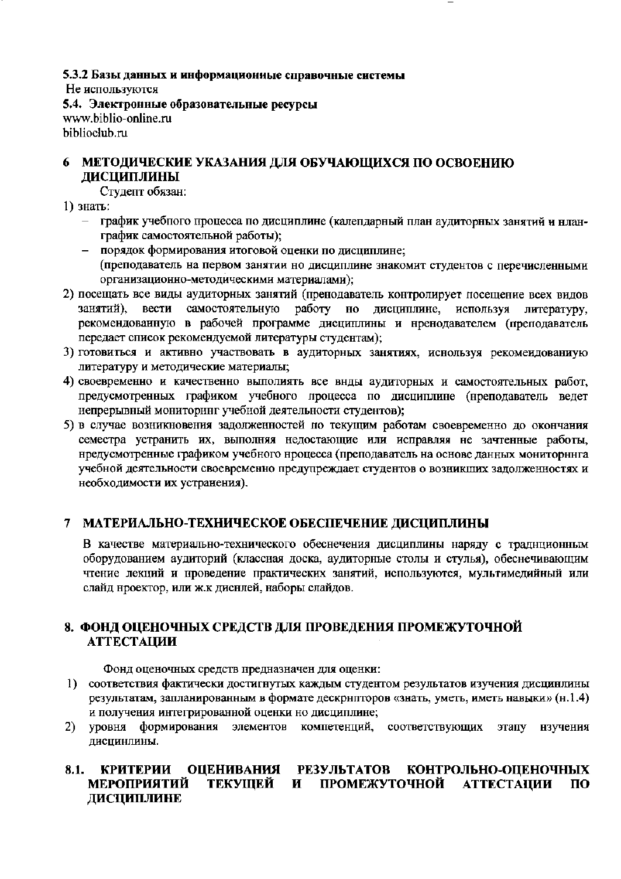5.3.2 Базы данных и информационные справочные системы Не используются 5.4. Электронные образовательные ресурсы www.biblio-online.ru biblioclub.ru

#### МЕТОДИЧЕСКИЕ УКАЗАНИЯ ДЛЯ ОБУЧАЮЩИХСЯ ПО ОСВОЕНИЮ 6 **ДИСЦИПЛИНЫ**

Студепт обязан:

- 1) знать:
	- график учебного процесса по дисциплине (календарный план аудиторных занятий и нланграфик самостоятельной работы);
	- порядок формирования итоговой оценки по дисциплине; (преподаватель на первом занятии но дисциплине знакомит студентов с перечисленными организационно-методическими материалами);
- 2) посещать все виды аудиторных занятий (пренодаватель контролирует посещение всех видов занятий), вести самостоятельную работу но дисциплине, используя литературу, рекомендованную в рабочей программе дисциплины и нренодавателем (преподаватель передает список рекомендуемой литературы студентам);
- 3) готовиться и активно участвовать в аудиторных занятиях, иснользуя рекомендованиую литературу и методические материалы;
- 4) своевременно и качественно выполиять все внды аудиторных и самостоятельных работ, предусмотренных графиком учебного процесса по дисциплине (нреподаватель ведет непрерывный мониторниг учебной деятельности студентов);
- 5) в случае возникновения задолженностей по текущим работам своевременно до окончания семестра устранить их, выполняя недостающие или исправляя не зачтенные работы, нредусмотренные графиком учебного нроцесса (преподаватель на основе данных мониторнига учебной деятельности своевременно предупреждает студентов о возникших задолженностях и необходимости их устранения).

#### $\tau$ МАТЕРИАЛЬНО-ТЕХНИЧЕСКОЕ ОБЕСПЕЧЕНИЕ ДИСЦИПЛИНЫ

В качестве материально-технического обеснечения дисциплины наряду с традиционным оборудованием аудиторий (классная доска, аудиторные столы и стулья), обеснечивающим чтение лекций и проведение практических занятий, используются, мультимедийный или слайд нроектор, или ж.к диснлей, наборы слайдов.

### 8. ФОНД ОЦЕНОЧНЫХ СРЕДСТВ ДЛЯ ПРОВЕДЕНИЯ ПРОМЕЖУТОЧНОЙ **АТТЕСТАЦИИ**

Фонд оценочных средств предназначен для оценки:

- 1) соответствия фактически достигнутых каждым студентом результатов изучения дисцинлины результатам, запланированным в формате дескрнпторов «знать, уметь, иметь навыки» (н.1.4) и получения интегрированной оценки но дисциплине;
- уровня формирования элементов компетенций, соответствующих  $2)$ этапу нзучения дисцинлины.

#### ОЦЕНИВАНИЯ РЕЗУЛЬТАТОВ КОНТРОЛЬНО-ОЦЕНОЧНЫХ 8.1. КРИТЕРИИ **МЕРОПРИЯТИЙ** ТЕКУЩЕЙ И ПРОМЕЖУТОЧНОЙ **АТТЕСТАЦИИ**  $\Pi$ <sup>O</sup> ДИСЦИПЛИНЕ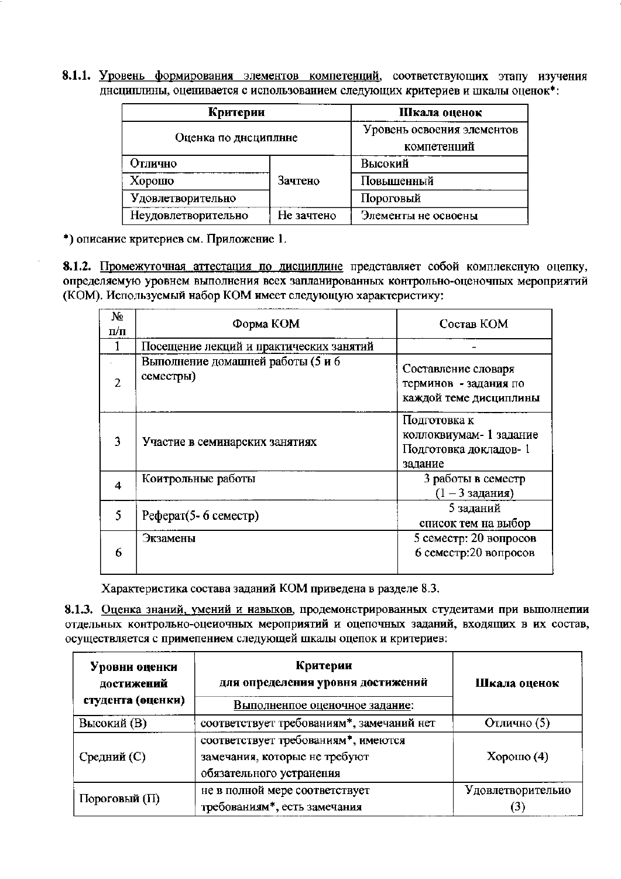8.1.1. Уровень формирования элементов компетенций, соответствующих этапу изучения днециплины, оценивается с использованием следующих критериев и шкалы оценок<sup>\*</sup>:

| Критерии             | Шкала оценок                              |                     |  |
|----------------------|-------------------------------------------|---------------------|--|
| Оценка по дисциплине | Уровень освоения элементов<br>компетенций |                     |  |
| Отлично              |                                           | Высокий             |  |
| Хорошо               | Зачтено                                   | Повышенный          |  |
| Удовлетворительно    |                                           | Пороговый           |  |
| Неудовлетворительно  | Не зачтено                                | Элементы не освоены |  |

\*) описание критериев см. Приложение 1.

8.1.2. Промежуточная аттестация по дисциплине представляет собой комплексную оцепку, определяемую уровнем выполнения всех запланированных контрольно-оценочных мероприятий (КОМ). Используемый набор КОМ имеет следующую характеристику:

| No<br>п⁄п     | Форма КОМ                                      | Состав КОМ                                                                  |
|---------------|------------------------------------------------|-----------------------------------------------------------------------------|
|               | Посещение лекций и практических занятий        |                                                                             |
| $\mathcal{P}$ | Выполнение домашней работы (5 и 6<br>семестры) | Составление словаря<br>терминов - задания по<br>каждой теме дисциплины      |
| 3             | Участие в семинарских занятиях                 | Подготовка к<br>коллоквиумам- 1 задание<br>Подготовка докладов-1<br>задание |
| 4             | Коитрольные работы                             | 3 работы в семестр<br>$(1 - 33a)$ дания)                                    |
| 5             | Реферат(5-6 семестр)                           | 5 заданий<br>список тем на выбор                                            |
| 6             | Экзамены                                       | 5 семестр: 20 вопросов<br>6 семестр:20 вопросов                             |

Характеристика состава заданий КОМ приведена в разделе 8.3.

8.1.3. Оценка знаний, умений и навыков, продемонстрированных студеитами при выполнепии отдельных контрольно-оцеиочных мероприятий и оцепочных заданий, входящих в их состав, осуществляется с примепением следующей шкалы оцепок и критериев:

| Уровни оценки<br>достижений<br>студента (оценки) | Критерии<br>для определения уровня достижений<br>Выполненпое оценочное задание:                  | Шкала оценок      |  |
|--------------------------------------------------|--------------------------------------------------------------------------------------------------|-------------------|--|
| Высокий (В)                                      | соответствует требованиям*, замечаний нет                                                        | Отлично (5)       |  |
| Средний (С)                                      | соответствует требованиям*, имеются<br>замечания, которые не требуют<br>обязательного устранения | Хорошо $(4)$      |  |
| Пороговый (П)                                    | не в полной мере соответствует<br>требованиям*, есть замечания                                   | Удовлетворительно |  |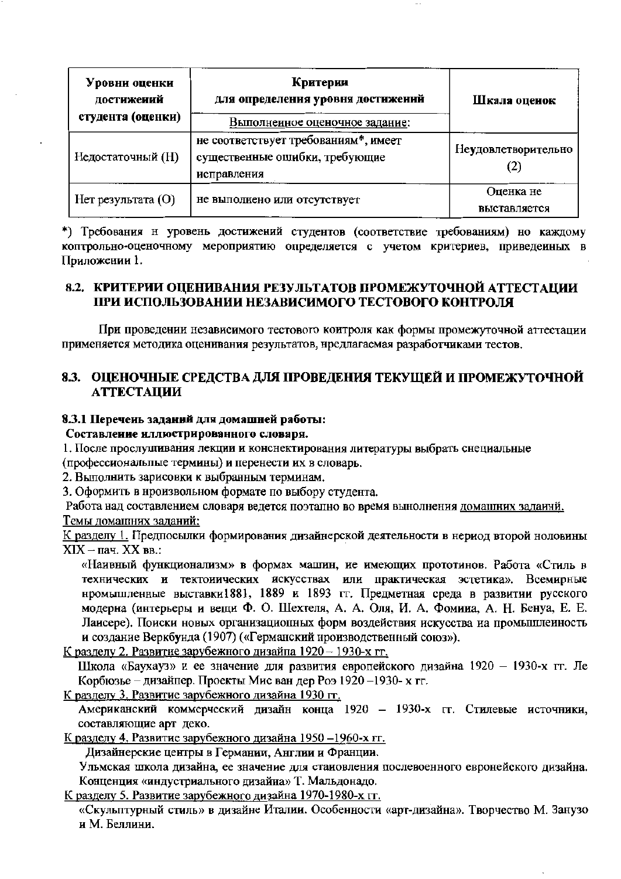| Уровни оценки<br>достижений<br>студента (оценки) | Критерии<br>для определения уровня достижений<br>Выполненное оценочное задание:       | Шкала оценок              |
|--------------------------------------------------|---------------------------------------------------------------------------------------|---------------------------|
| Недостаточный (H)                                | не соответствует требованиям*, имеет<br>существенные ошибки, требующие<br>исправления | Неудовлетворительно       |
| Hет результата $(O)$                             | не выполнено или отсутствует                                                          | Оценка не<br>выставляется |

\*) Требования н уровень достижений студентов (соответствие требованиям) но каждому коптрольно-оценочному мероприятию определяется с учетом критериев, приведенных в Приложении 1.

### 8.2. КРИТЕРИИ ОЦЕНИВАНИЯ РЕЗУЛЬТАТОВ ПРОМЕЖУТОЧНОЙ АТТЕСТАЦИИ ПРИ ИСПОЛЬЗОВАНИИ НЕЗАВИСИМОГО ТЕСТОВОГО КОНТРОЛЯ

При проведении независимого тестового коитроля как формы промежуточной аттестации применяется методика оценивания результатов, нредлагаемая разработчиками тестов.

### 8.3. ОЦЕНОЧНЫЕ СРЕДСТВА ДЛЯ ПРОВЕДЕНИЯ ТЕКУЩЕЙ И ПРОМЕЖУТОЧНОЙ **АТТЕСТАЦИИ**

### 8.3.1 Перечень заданий для домашней работы:

### Составление иллюстрированного словаря.

1. После прослушивания лекции и конснектирования литературы выбрать снециальные

(профессиональные термины) и перенести их в словарь.

2. Выполнить зарисовки к выбранным терминам.

3. Оформить в нроизвольном формате по выбору студента.

Работа над составлением словаря ведется поэтапно во время вынолнения домашних заданни. Темы домашних заданий:

К разделу 1. Предпосылки формирования дизайнерской деятельности в нериод второй ноловины  $XIX - \text{пач. } XX$  вв.:

«Наивный функционализм» в формах машин, ие имеющих прототинов. Работа «Стиль в технических и тектоиических искусствах или практическая эстетика». Всемирные нромышленные выставки1881, 1889 и 1893 гг. Предметная среда в развитии русского модерна (интерьеры и вещи Ф. О. Шехтеля, А. А. Оля, И. А. Фомина, А. Н. Бенуа, Е. Е. Лаисере). Поиски новых организациопных форм воздействия искусства на промышленность и создание Веркбунда (1907) («Германский нроизводственный союз»).

К разделу 2. Развитие зарубежного дизайна 1920 - 1930-х гг.

Школа «Баухауз» и ее значение для развития европейского дизайна 1920 - 1930-х гг. Ле Корбюзье - дизайпер. Проекты Мис ван дер Роз 1920 -1930- х гг.

К разделу 3. Развитие зарубежного дизайна 1930 гг.

Американский коммерческий дизайн конца 1920 - 1930-х гг. Стилевые источники, составляющие арт деко.

К разделу 4. Развитие зарубежного дизайна 1950-1960-х гг.

Дизайнерские центры в Германии, Англии и Франции.

Ульмская школа дизайна, ее значение для стаиовления послевоенного евронейского дизайна. Конценция «индустриального дизайна» Т. Мальдонадо.

К разделу 5. Развитие зарубежного дизайна 1970-1980-х гг.

«Скульптурный стиль» в дизайне Италии. Особенности «арт-дизайна». Творчество М. Занузо и М. Беллини.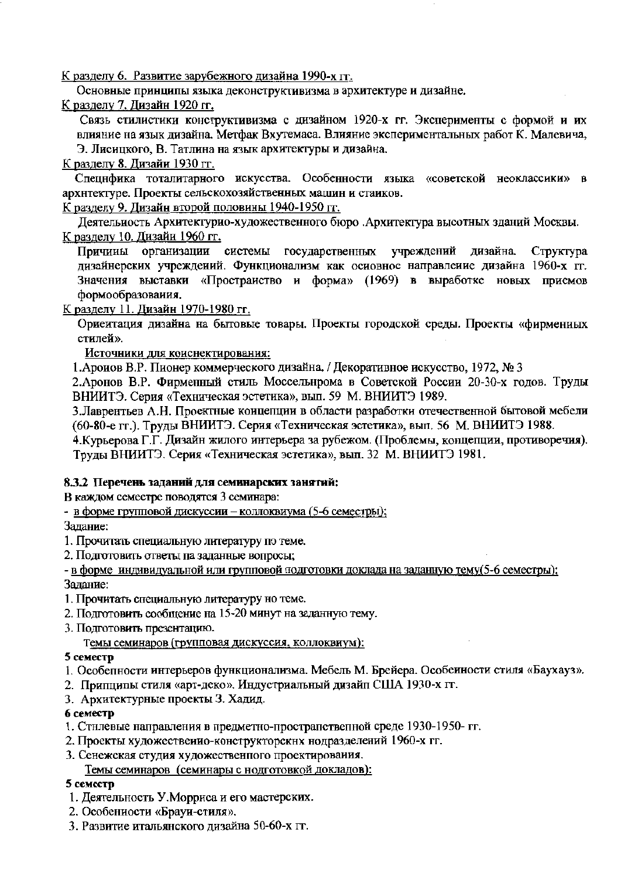К разделу 6. Развитие зарубежного дизайна 1990-х гг.

Основные принципы языка деконструктивизма в архитектуре и дизайне.

К разделу 7. Дизайн 1920 гг.

Связь стилистики конструктивизма с дизайном 1920-х гг. Эксперименты с формой и их влияние на язык дизайна. Метфак Вхутемаса. Влияние экспериментальных работ К. Малевича, Э. Лисицкого, В. Татлина на язык архитектуры и дизайна.

### К разделу 8. Дизайи 1930 гг.

Специфика тоталитарного искусства. Особенности языка «советской неоклассики» в архнтектуре. Проекты сельскохозяйственных машин и стаиков.

К разделу 9. Дизайн второй половины 1940-1950 гг.

Леятельность Архитектурио-художественного бюро .Архитектура высотных зданий Москвы. К разделу 10. Дизайи 1960 гг.

Причины организации системы государственных учреждений дизайна. Структура дизайнерских учреждений. Функционализм как основное направление дизайна 1960-х гг. Значения выставки «Простраиство и форма» (1969) в выработке новых приемов формообразования.

К разделу 11. Дизайн 1970-1980 гг.

Ориентация дизайна на бытовые товары. Проекты городской среды. Проекты «фирмениых стилей».

Источники для коиснектирования:

1. Ароиов В.Р. Пионер коммерческого дизайна. / Декоративное искусство, 1972, № 3

2. Аронов В.Р. Фирменный стиль Моссельнрома в Советской России 20-30-х годов. Труды ВНИИТЭ. Серия «Техническая эстетика», вып. 59 М. ВНИИТЭ 1989.

3. Лаврентьев А.Н. Проектные коицепции в области разработки отечественной бытовой мебели (60-80-е гг.). Труды ВНИИТЭ. Серия «Техническая эстетика», вып. 56 М. ВНИИТЭ 1988.

4. Курьерова Г.Г. Дизайн жилого интерьера за рубежом. (Проблемы, концепции, противоречия). Труды ВНИИТЭ. Серия «Техническая эстетика», вып. 32 М. ВНИИТЭ 1981.

### 8.3.2 Перечень заданий для семинарских занятий:

В каждом семестре поводятся 3 семинара:

- в форме групповой дискуссии - коллоквиума (5-6 семестры);

Залание:

1. Прочитать специальную литературу по теме.

2. Подготовить ответы па заданные вопросы;

- в форме индивидуальной или групповой подготовки доклада на заданную тему(5-6 семестры); Залание:

- 1. Прочитать специальную литературу но теме.
- 2. Подготовить сообщение на 15-20 минут на заданную тему.
- 3. Подготовить презентацию.

Темы семинаров (групповая дискуссия, коллоквиум):

### 5 семестр

- 1. Особепности интерьеров функционализма. Мебель М. Брейера. Особеиности стиля «Баухауз».
- 2. Припципы стиля «арт-деко». Индустриальный дизайп США 1930-х гг.
- 3. Архитектурные проекты З. Хадид.

### 6 семестр

- 1. Стилевые направления в предметно-прострапственной среде 1930-1950- гг.
- 2. Проекты художественно-конструкторских нодразделений 1960-х гг.
- 3. Сенежская студия художественного проектирования.

Темы семинаров (семинары с нодготовкой докладов):

### 5 семестр

- 1. Деятельность У. Морриса и его мастерских.
- 2. Особениости «Брауи-стиля».
- 3. Развитие итальянского дизайна 50-60-х гт.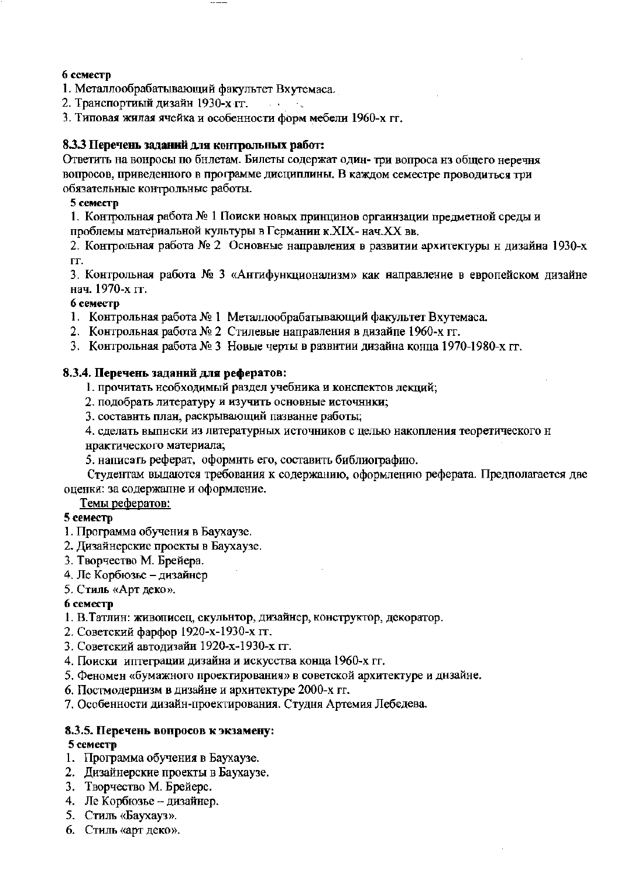### 6 семестр

- 1. Металлообрабатывающий факультет Вхутемаса.
- 2. Транспортиый дизайн 1930-х гг.  $\mathcal{L}(\mathcal{A})=\mathcal{A}_1$
- 3. Типовая жилая ячейка и особенности форм мебели 1960-х гг.

### 8.3.3 Перечень заданий для контрольных работ:

Ответить на вонросы по бнлетам. Билеты содержат один- три вопроса из общего неречня вопросов, приведенного в программе дисциплины. В каждом семестре проводиться три обязательные контрольные работы.

### 5 семестр

1. Контрольная работа № 1 Поиски новых принцинов организации предметной среды и проблемы материальной культуры в Германин к.XIX- нач.XX вв.

2. Контрольная работа № 2 Основные направления в развитии архитектуры н дизайна 1930-х ГΓ.

3. Контрольная работа № 3 «Антифункционализм» как направление в европейском дизайне нач. 1970-х гг.

### 6 семестр

- 1. Контрольная работа № 1 Металлообрабатывающий факультет Вхутемаса.
- 2. Контрольная работа № 2 Стилевые направления в дизайпе 1960-х гг.
- 3. Контрольная работа № 3 Новые черты в развитии дизайна конца 1970-1980-х гг.

### 8.3.4. Перечень заданий для рефератов:

- 1. прочитать необходимый раздел учебника и конспектов лекций;
- 2. подобрать литературу и изучить основные источники;
- 3. составить план, раскрывающий пазвание работы;
- 4. сделать выпнски из литературных источников с целью накопления теоретического н нрактического материала;
- 5. написать реферат, оформить его, составить библиографию.

Студентам выдаются требования к содержанию, оформлению реферата. Предполагается две оценки: за содержание и оформление.

Темы рефератов:

### 5 семестр

- 1. Программа обучения в Баухаузе.
- 2. Дизайнерские проекты в Баухаузе.
- 3. Творчество М. Брейера.
- 4. Ле Корбюзье дизайнер
- 5. Стиль «Арт деко».

### 6 семестр

- 1. В. Татлин: живописец, скульнтор, дизайнер, конструктор, декоратор.
- 2. Советский фарфор 1920-х-1930-х гг.
- 3. Советский автодизайн 1920-х-1930-х гт.
- 4. Поиски иптеграции дизайна и искусства конца 1960-х гг.
- 5. Феномен «бумажного проектирования» в советской архитектуре и днзайне.
- 6. Постмодернизм в дизайне и архитектуре 2000-х гг.
- 7. Особенности дизайн-проектирования. Студня Артемия Лебедева.

### 8.3.5. Перечень вопросов к экзамену: 5 семестр

- 1. Программа обучения в Баухаузе.
- 2. Дизайнерские проекты в Баухаузе.
- 3. Творчество М. Брейерс.
- 4. Ле Корбюзье дизайнер.
- 5. Стиль «Баухауз».
- 6. Стиль «арт деко».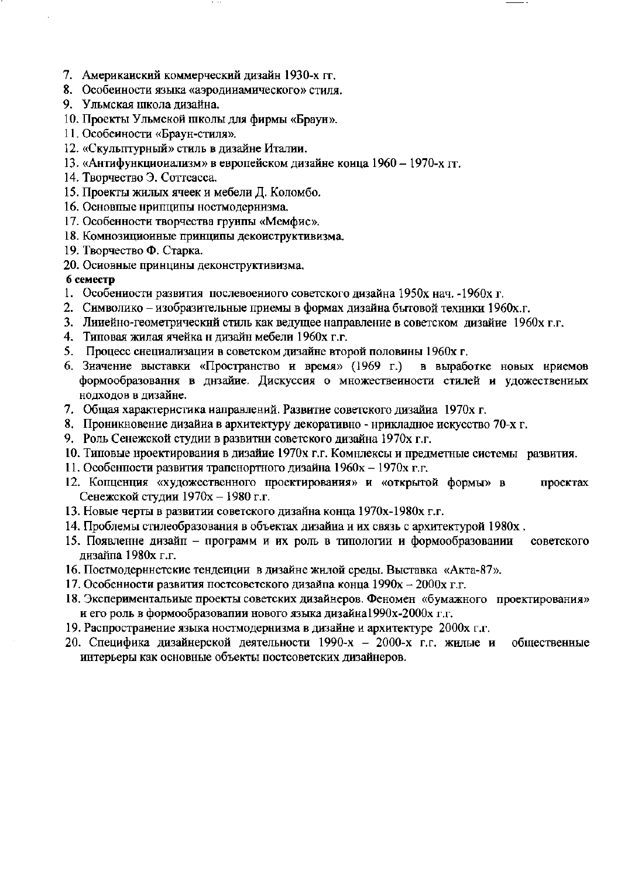- 7. Американский коммерческий дизайн 1930-х гг.
- 8. Особенности языка «аэродинамнческого» стиля.
- 9. Ульмская школа дизайна.
- 10. Проекты Ульмской школы для фирмы «Браун».
- 11. Особеиности «Браун-стиля».
- 12. «Скульптурный» стиль в дизайне Италии.
- 13. «Антифункционализм» в европейском дизайне конца 1960 1970-х гг.
- 14. Творчество Э. Соттсасса.
- 15. Проекты жилых ячеек и мебели Д. Коломбо.
- 16. Основпые нрипципы ностмодернизма.
- 17. Особенности творчества грунпы «Мемфис».
- 18. Комнозиционные принципы деконструктивизма.
- 19. Творчество Ф. Старка.
- 20. Основные принцины деконструктивизма.

### 6 семестр

- 1. Особенности развития послевоенного советского дизайна 1950х нач. 1960х г.
- 2. Символико изобразительные приемы в формах дизайна бытовой техники 1960х.г.
- 3. Линейно-геометрический стиль как ведущее направление в советском дизайне 1960х г.г.
- 4. Типовая жилая ячейка н дизайн мебели 1960х г.г.
- 5. Процесс снециализации в советском дизайне второй половины 1960х г.
- 6. Значение выставки «Пространство и время» (1969 г.) в выработке новых нриемов формообразовання в днзайне. Дискуссия о множественности стилей и удожественных нодходов в дизайне.
- 7. Общая характеристика иаправлений. Развитие советского дизайна 1970х г.
- 8. Проникновение дизайна в архитектуру декоративно нрикладное нскусство 70-х г.
- 9. Роль Сенежской студии в развитии советского дизайна 1970х г.г.
- 10. Типовые нроектирования в дизайие 1970х г.г. Комнлексы и предметные системы развития.
- 11. Особенности развития трапснортного дизайна 1960х 1970х г.г.
- 12. Копценция «художественного проектирования» и «открытой формы» в проектах Сенежской студии 1970х - 1980 г.г.
- 13. Новые черты в развитии советского дизайна конца 1970х-1980х г.г.
- 14. Проблемы стилеобразования в объектах дизайна и их связь с архитектурой 1980х.
- 15. Появленне дизайп программ и их роль в типологии и формообразовании советского дизайна 1980х г.г.
- 16. Постмодернистские тенденции в дизайне жилой среды. Выставка «Акта-87».
- 17. Особенности развития постсоветского дизайна конца 1990х 2000х г.г.
- 18. Экспериментальиые проекты советских дизайнеров. Феномен «бумажного проектирования» и его роль в формообразовалии нового языка дизайна 1990х-2000х г.г.
- 19. Распространение языка ностмодернизма в дизайне и архитектуре 2000х г.г.
- 20. Специфика дизайнерской деятельности 1990-х 2000-х г.г. жилые и общественные интерьеры как основные объекты постсоветских дизайнеров.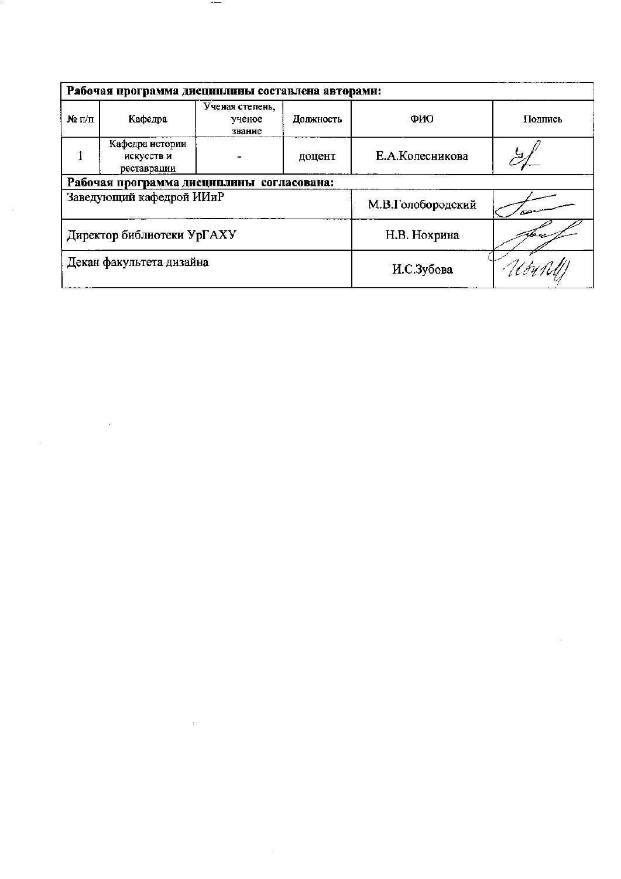| Рабочая программа дисциплины составлена авторами: |                                              |                                     |           |                   |         |  |
|---------------------------------------------------|----------------------------------------------|-------------------------------------|-----------|-------------------|---------|--|
| $\mathbf{N}_2$ $\Pi/\Pi$                          | Кафедра                                      | Ученая степень,<br>ученое<br>звание | Должность | ФИО               | Подпись |  |
|                                                   | Кафедра истории<br>искусств и<br>реставрации |                                     | доцент    | Е.А.Колесникова   |         |  |
|                                                   | Рабочая программа дисциплины согласована:    |                                     |           |                   |         |  |
| Заведующий кафедрой ИИиР                          |                                              |                                     |           | М.В.Голобородский |         |  |
| Директор библиотеки УрГАХУ                        |                                              |                                     |           | Н.В. Нохрина      |         |  |
| Декан факультета дизайна                          |                                              |                                     |           | И.С.Зубова        |         |  |

 $\mathcal{L}^{\text{max}}_{\text{max}}$  and  $\mathcal{L}^{\text{max}}_{\text{max}}$ 

 $-$ 

 $\label{eq:2.1} \frac{1}{\sqrt{2}}\int_{\mathbb{R}^{2}}\left|\frac{d\mathbf{r}}{d\mathbf{r}}\right|^{2}d\mathbf{r}d\mathbf{r}$ 

 $\label{eq:2.1} \frac{1}{2}\sum_{i=1}^n\frac{1}{2}\left(\frac{1}{2}\sum_{i=1}^n\frac{1}{2}\sum_{i=1}^n\frac{1}{2}\sum_{i=1}^n\frac{1}{2}\sum_{i=1}^n\frac{1}{2}\sum_{i=1}^n\frac{1}{2}\sum_{i=1}^n\frac{1}{2}\sum_{i=1}^n\frac{1}{2}\sum_{i=1}^n\frac{1}{2}\sum_{i=1}^n\frac{1}{2}\sum_{i=1}^n\frac{1}{2}\sum_{i=1}^n\frac{1}{2}\sum_{i=1}^n\frac{1}{2}\sum$ 

 $\label{eq:2.1} \frac{1}{\sqrt{2}}\int_{\mathbb{R}^3}\frac{1}{\sqrt{2}}\left(\frac{1}{\sqrt{2}}\right)^2\frac{1}{\sqrt{2}}\left(\frac{1}{\sqrt{2}}\right)^2\frac{1}{\sqrt{2}}\left(\frac{1}{\sqrt{2}}\right)^2\frac{1}{\sqrt{2}}\left(\frac{1}{\sqrt{2}}\right)^2\frac{1}{\sqrt{2}}\left(\frac{1}{\sqrt{2}}\right)^2\frac{1}{\sqrt{2}}\frac{1}{\sqrt{2}}\frac{1}{\sqrt{2}}\frac{1}{\sqrt{2}}\frac{1}{\sqrt{2}}\frac{1}{\sqrt{2}}$